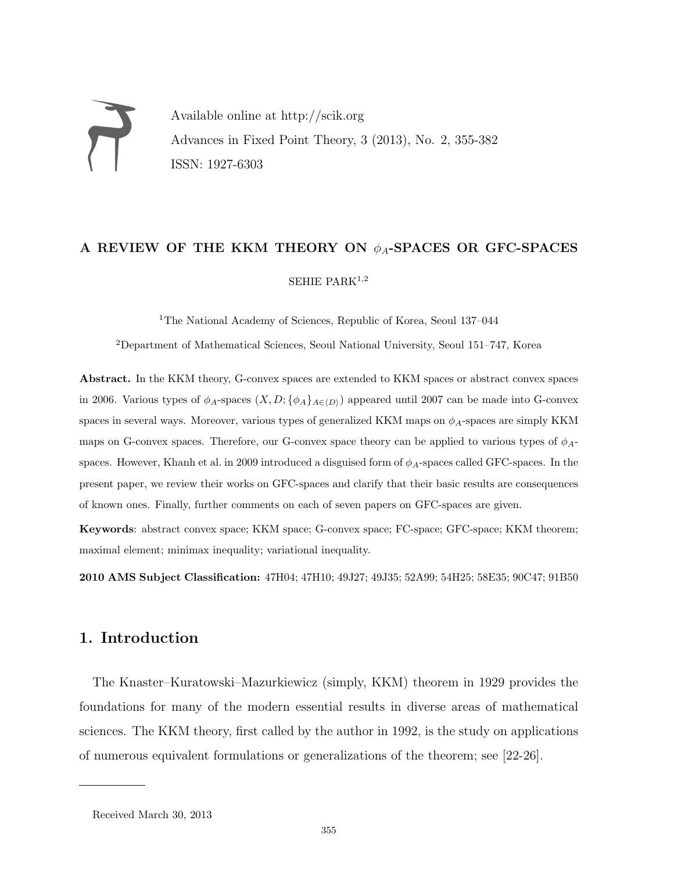Available online at http://scik.org Advances in Fixed Point Theory, 3 (2013), No. 2, 355-382 ISSN: 1927-6303

# A REVIEW OF THE KKM THEORY ON  $\phi_A$ -SPACES OR GFC-SPACES SEHIE PARK $1,2$

<sup>1</sup>The National Academy of Sciences, Republic of Korea, Seoul 137–044

<sup>2</sup>Department of Mathematical Sciences, Seoul National University, Seoul 151–747, Korea

Abstract. In the KKM theory, G-convex spaces are extended to KKM spaces or abstract convex spaces in 2006. Various types of  $\phi_A$ -spaces  $(X, D; {\phi_A}_{A\in\langle D \rangle})$  appeared until 2007 can be made into G-convex spaces in several ways. Moreover, various types of generalized KKM maps on  $\phi_A$ -spaces are simply KKM maps on G-convex spaces. Therefore, our G-convex space theory can be applied to various types of  $\phi_A$ spaces. However, Khanh et al. in 2009 introduced a disguised form of  $\phi_A$ -spaces called GFC-spaces. In the present paper, we review their works on GFC-spaces and clarify that their basic results are consequences of known ones. Finally, further comments on each of seven papers on GFC-spaces are given.

Keywords: abstract convex space; KKM space; G-convex space; FC-space; GFC-space; KKM theorem; maximal element; minimax inequality; variational inequality.

2010 AMS Subject Classification: 47H04; 47H10; 49J27; 49J35; 52A99; 54H25; 58E35; 90C47; 91B50

### 1. Introduction

The Knaster–Kuratowski–Mazurkiewicz (simply, KKM) theorem in 1929 provides the foundations for many of the modern essential results in diverse areas of mathematical sciences. The KKM theory, first called by the author in 1992, is the study on applications of numerous equivalent formulations or generalizations of the theorem; see [22-26].

Received March 30, 2013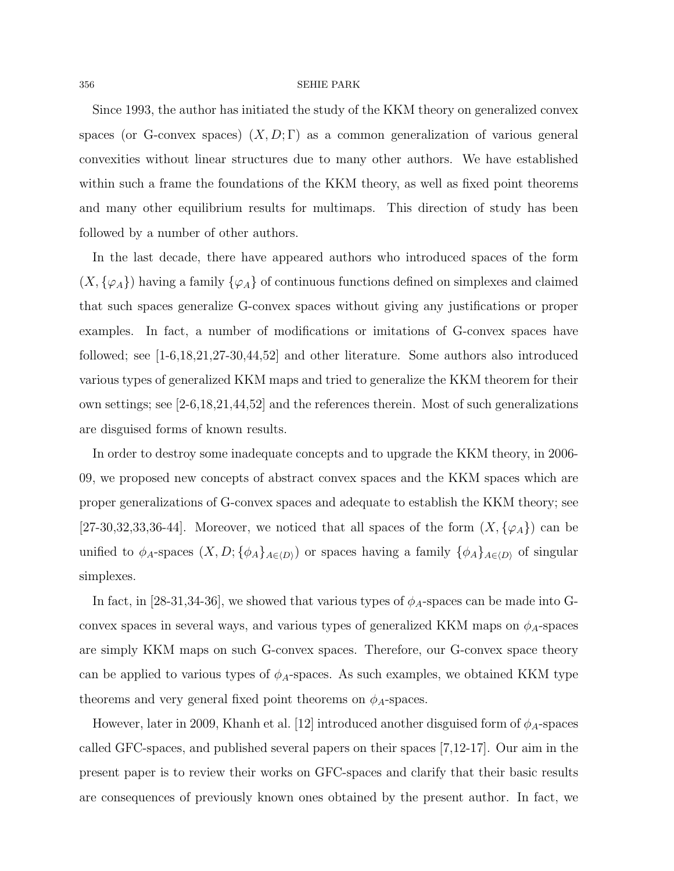Since 1993, the author has initiated the study of the KKM theory on generalized convex spaces (or G-convex spaces)  $(X, D; \Gamma)$  as a common generalization of various general convexities without linear structures due to many other authors. We have established within such a frame the foundations of the KKM theory, as well as fixed point theorems and many other equilibrium results for multimaps. This direction of study has been followed by a number of other authors.

In the last decade, there have appeared authors who introduced spaces of the form  $(X, {\varphi_A})$  having a family  ${\varphi_A}$  of continuous functions defined on simplexes and claimed that such spaces generalize G-convex spaces without giving any justifications or proper examples. In fact, a number of modifications or imitations of G-convex spaces have followed; see [1-6,18,21,27-30,44,52] and other literature. Some authors also introduced various types of generalized KKM maps and tried to generalize the KKM theorem for their own settings; see [2-6,18,21,44,52] and the references therein. Most of such generalizations are disguised forms of known results.

In order to destroy some inadequate concepts and to upgrade the KKM theory, in 2006- 09, we proposed new concepts of abstract convex spaces and the KKM spaces which are proper generalizations of G-convex spaces and adequate to establish the KKM theory; see [27-30,32,33,36-44]. Moreover, we noticed that all spaces of the form  $(X, \{\varphi_A\})$  can be unified to  $\phi_A$ -spaces  $(X, D; {\phi_A}_{A\in\langle D \rangle})$  or spaces having a family  ${\phi_A}_{A\in\langle D \rangle}$  of singular simplexes.

In fact, in [28-31,34-36], we showed that various types of  $\phi_A$ -spaces can be made into Gconvex spaces in several ways, and various types of generalized KKM maps on  $\phi_A$ -spaces are simply KKM maps on such G-convex spaces. Therefore, our G-convex space theory can be applied to various types of  $\phi_A$ -spaces. As such examples, we obtained KKM type theorems and very general fixed point theorems on  $\phi_A$ -spaces.

However, later in 2009, Khanh et al. [12] introduced another disguised form of  $\phi_A$ -spaces called GFC-spaces, and published several papers on their spaces [7,12-17]. Our aim in the present paper is to review their works on GFC-spaces and clarify that their basic results are consequences of previously known ones obtained by the present author. In fact, we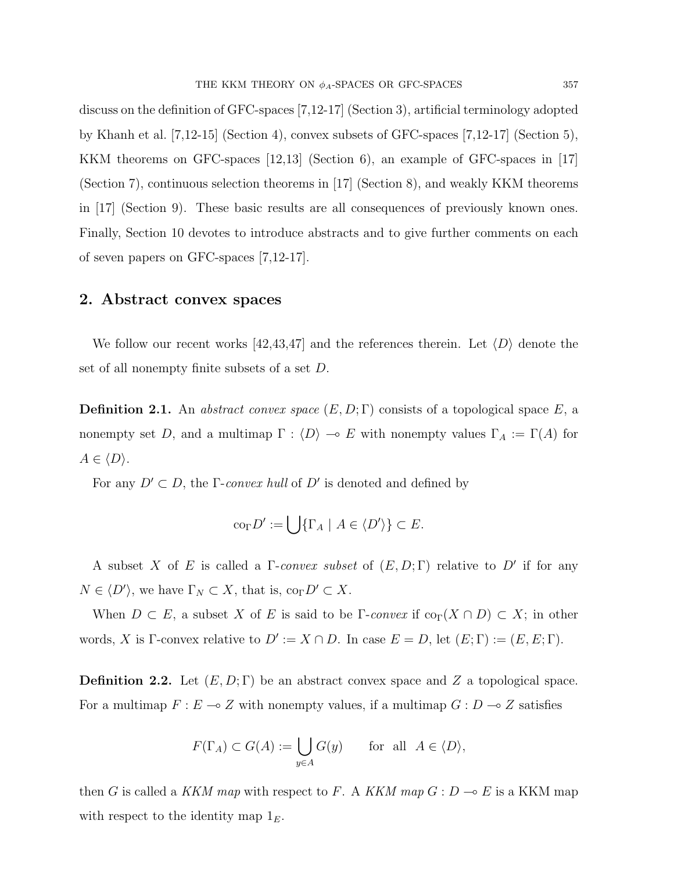discuss on the definition of GFC-spaces [7,12-17] (Section 3), artificial terminology adopted by Khanh et al. [7,12-15] (Section 4), convex subsets of GFC-spaces [7,12-17] (Section 5), KKM theorems on GFC-spaces [12,13] (Section 6), an example of GFC-spaces in [17] (Section 7), continuous selection theorems in [17] (Section 8), and weakly KKM theorems in [17] (Section 9). These basic results are all consequences of previously known ones. Finally, Section 10 devotes to introduce abstracts and to give further comments on each of seven papers on GFC-spaces [7,12-17].

### 2. Abstract convex spaces

We follow our recent works [42,43,47] and the references therein. Let  $\langle D \rangle$  denote the set of all nonempty finite subsets of a set D.

**Definition 2.1.** An abstract convex space  $(E, D; \Gamma)$  consists of a topological space E, a nonempty set D, and a multimap  $\Gamma : \langle D \rangle \to E$  with nonempty values  $\Gamma_A := \Gamma(A)$  for  $A \in \langle D \rangle$ .

For any  $D' \subset D$ , the Γ-convex hull of D' is denoted and defined by

$$
\mathrm{co}_{\Gamma} D' := \bigcup \{ \Gamma_A \mid A \in \langle D' \rangle \} \subset E.
$$

A subset X of E is called a  $\Gamma$ -convex subset of  $(E, D; \Gamma)$  relative to D' if for any  $N \in \langle D' \rangle$ , we have  $\Gamma_N \subset X$ , that is,  $\text{co}_{\Gamma} D' \subset X$ .

When  $D \subset E$ , a subset X of E is said to be Γ-convex if  $\text{co}_{\Gamma}(X \cap D) \subset X$ ; in other words, X is Γ-convex relative to  $D' := X \cap D$ . In case  $E = D$ , let  $(E; \Gamma) := (E, E; \Gamma)$ .

**Definition 2.2.** Let  $(E, D; \Gamma)$  be an abstract convex space and Z a topological space. For a multimap  $F : E \multimap Z$  with nonempty values, if a multimap  $G : D \multimap Z$  satisfies

$$
F(\Gamma_A) \subset G(A) := \bigcup_{y \in A} G(y) \quad \text{for all } A \in \langle D \rangle,
$$

then G is called a KKM map with respect to F. A KKM map  $G: D \to E$  is a KKM map with respect to the identity map  $1<sub>E</sub>$ .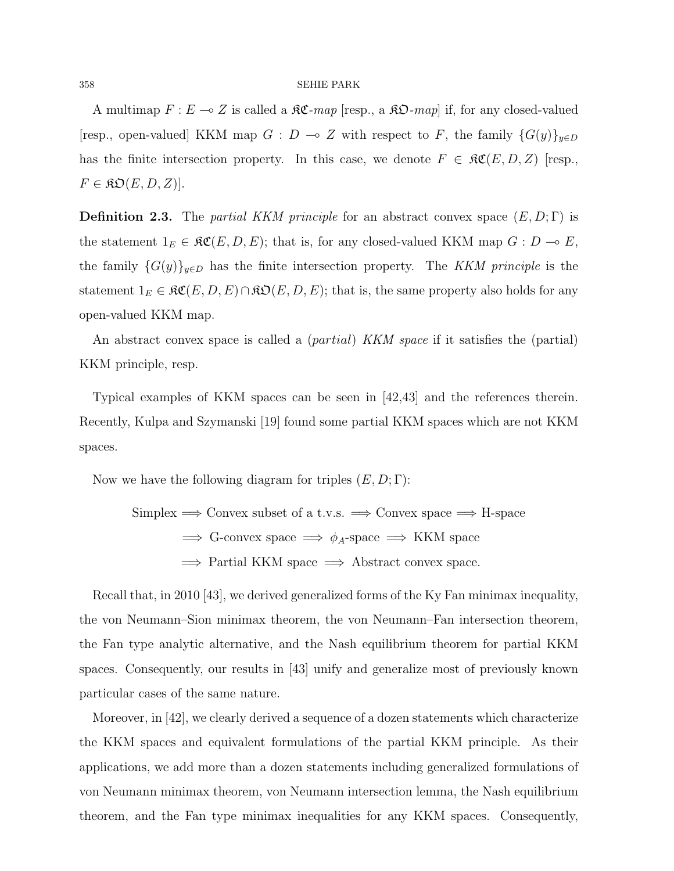A multimap  $F : E \to Z$  is called a  $\Re \mathfrak{C}$ -map [resp., a  $\Re \mathfrak{O}$ -map] if, for any closed-valued [resp., open-valued] KKM map  $G : D \multimap Z$  with respect to F, the family  $\{G(y)\}_{y \in D}$ has the finite intersection property. In this case, we denote  $F \in \mathfrak{RC}(E, D, Z)$  [resp.,  $F \in \mathcal{R}\mathfrak{O}(E, D, Z)$ .

**Definition 2.3.** The *partial KKM principle* for an abstract convex space  $(E, D; \Gamma)$  is the statement  $1_E \in \mathfrak{RC}(E, D, E)$ ; that is, for any closed-valued KKM map  $G : D \multimap E$ , the family  $\{G(y)\}_{y\in D}$  has the finite intersection property. The KKM principle is the statement  $1_E \in \mathfrak{RC}(E, D, E) \cap \mathfrak{RO}(E, D, E)$ ; that is, the same property also holds for any open-valued KKM map.

An abstract convex space is called a *(partial) KKM space* if it satisfies the *(partial)* KKM principle, resp.

Typical examples of KKM spaces can be seen in [42,43] and the references therein. Recently, Kulpa and Szymanski [19] found some partial KKM spaces which are not KKM spaces.

Now we have the following diagram for triples  $(E, D; \Gamma)$ :

Simplex 
$$
\implies
$$
 Convex subset of a t.v.s.  $\implies$  Convex space  $\implies$  H-space  
 $\implies$  G-convex space  $\implies \phi_A$ -space  $\implies$  KKM space  
 $\implies$  Partial KKM space  $\implies$  Abstract convex space.

Recall that, in 2010 [43], we derived generalized forms of the Ky Fan minimax inequality, the von Neumann–Sion minimax theorem, the von Neumann–Fan intersection theorem, the Fan type analytic alternative, and the Nash equilibrium theorem for partial KKM spaces. Consequently, our results in [43] unify and generalize most of previously known particular cases of the same nature.

Moreover, in [42], we clearly derived a sequence of a dozen statements which characterize the KKM spaces and equivalent formulations of the partial KKM principle. As their applications, we add more than a dozen statements including generalized formulations of von Neumann minimax theorem, von Neumann intersection lemma, the Nash equilibrium theorem, and the Fan type minimax inequalities for any KKM spaces. Consequently,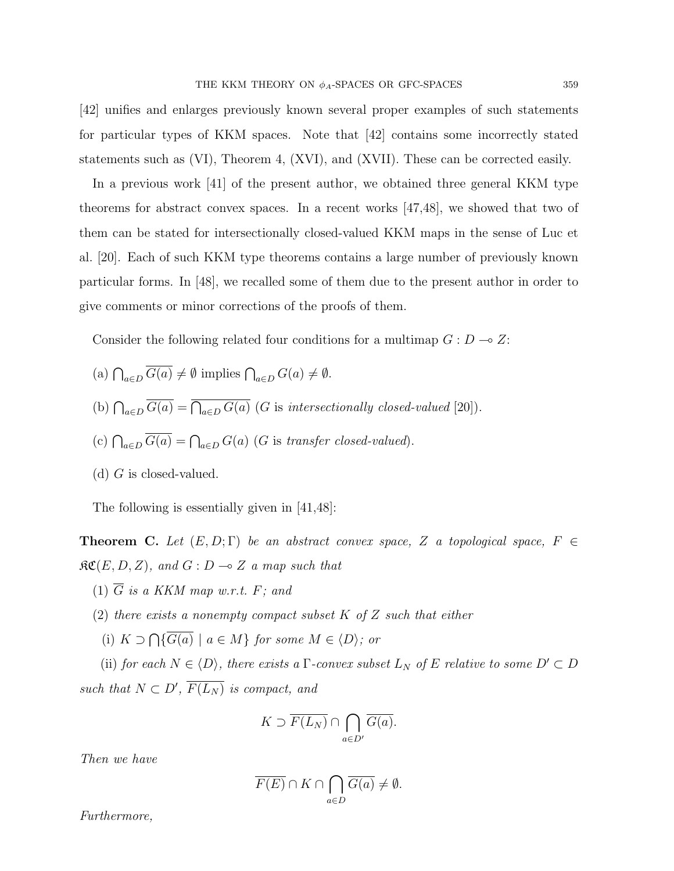[42] unifies and enlarges previously known several proper examples of such statements for particular types of KKM spaces. Note that [42] contains some incorrectly stated statements such as (VI), Theorem 4, (XVI), and (XVII). These can be corrected easily.

In a previous work [41] of the present author, we obtained three general KKM type theorems for abstract convex spaces. In a recent works [47,48], we showed that two of them can be stated for intersectionally closed-valued KKM maps in the sense of Luc et al. [20]. Each of such KKM type theorems contains a large number of previously known particular forms. In [48], we recalled some of them due to the present author in order to give comments or minor corrections of the proofs of them.

Consider the following related four conditions for a multimap  $G: D \to Z$ :

- (a)  $\bigcap_{a\in D} G(a) \neq \emptyset$  implies  $\bigcap_{a\in D} G(a) \neq \emptyset$ .
- (b)  $\bigcap_{a\in D} G(a) = \bigcap_{a\in D} G(a)$  (G is intersectionally closed-valued [20]).
- (c)  $\bigcap_{a \in D} G(a) = \bigcap_{a \in D} G(a)$  (G is transfer closed-valued).
- (d)  $G$  is closed-valued.

The following is essentially given in [41,48]:

**Theorem C.** Let  $(E, D; \Gamma)$  be an abstract convex space, Z a topological space, F  $\in$  $\mathfrak{RC}(E, D, Z)$ , and  $G: D \multimap Z$  a map such that

- (1)  $\overline{G}$  is a KKM map w.r.t. F; and
- (2) there exists a nonempty compact subset  $K$  of  $Z$  such that either
	- (i)  $K \supset \bigcap \{G(a) \mid a \in M\}$  for some  $M \in \langle D \rangle$ ; or

(ii) for each  $N \in \langle D \rangle$ , there exists a  $\Gamma$ -convex subset  $L_N$  of E relative to some  $D' \subset D$ such that  $N \subset D'$ ,  $\overline{F(L_N)}$  is compact, and

$$
K \supset \overline{F(L_N)} \cap \bigcap_{a \in D'} \overline{G(a)}.
$$

Then we have

$$
\overline{F(E)} \cap K \cap \bigcap_{a \in D} \overline{G(a)} \neq \emptyset.
$$

Furthermore,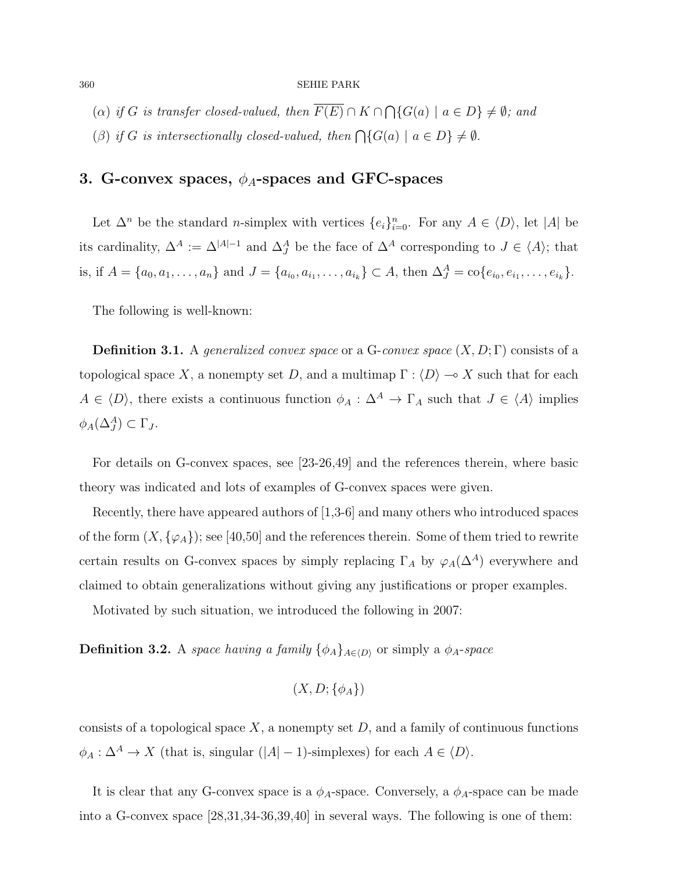- (a) if G is transfer closed-valued, then  $F(E) \cap K \cap \bigcap \{G(a) \mid a \in D\} \neq \emptyset$ ; and
- (β) if G is intersectionally closed-valued, then  $\bigcap \{G(a) \mid a \in D\} \neq \emptyset$ .

# 3. G-convex spaces,  $\phi_A$ -spaces and GFC-spaces

Let  $\Delta^n$  be the standard *n*-simplex with vertices  $\{e_i\}_{i=0}^n$ . For any  $A \in \langle D \rangle$ , let  $|A|$  be its cardinality,  $\Delta^A := \Delta^{|A|-1}$  and  $\Delta^A_J$  be the face of  $\Delta^A$  corresponding to  $J \in \langle A \rangle$ ; that is, if  $A = \{a_0, a_1, \ldots, a_n\}$  and  $J = \{a_{i_0}, a_{i_1}, \ldots, a_{i_k}\} \subset A$ , then  $\Delta_J^A = \text{co}\{e_{i_0}, e_{i_1}, \ldots, e_{i_k}\}.$ 

The following is well-known:

**Definition 3.1.** A generalized convex space or a G-convex space  $(X, D; \Gamma)$  consists of a topological space X, a nonempty set D, and a multimap  $\Gamma : \langle D \rangle \longrightarrow X$  such that for each  $A \in \langle D \rangle$ , there exists a continuous function  $\phi_A : \Delta^A \to \Gamma_A$  such that  $J \in \langle A \rangle$  implies  $\phi_A(\Delta_J^A) \subset \Gamma_J.$ 

For details on G-convex spaces, see [23-26,49] and the references therein, where basic theory was indicated and lots of examples of G-convex spaces were given.

Recently, there have appeared authors of [1,3-6] and many others who introduced spaces of the form  $(X, \{\varphi_A\})$ ; see [40,50] and the references therein. Some of them tried to rewrite certain results on G-convex spaces by simply replacing  $\Gamma_A$  by  $\varphi_A(\Delta^A)$  everywhere and claimed to obtain generalizations without giving any justifications or proper examples.

Motivated by such situation, we introduced the following in 2007:

**Definition 3.2.** A space having a family  $\{\phi_A\}_{A\in\langle D\rangle}$  or simply a  $\phi_A$ -space

$$
(X, D; \{\phi_A\})
$$

consists of a topological space  $X$ , a nonempty set  $D$ , and a family of continuous functions  $\phi_A : \Delta^A \to X$  (that is, singular  $(|A| - 1)$ -simplexes) for each  $A \in \langle D \rangle$ .

It is clear that any G-convex space is a  $\phi_A$ -space. Conversely, a  $\phi_A$ -space can be made into a G-convex space [28,31,34-36,39,40] in several ways. The following is one of them: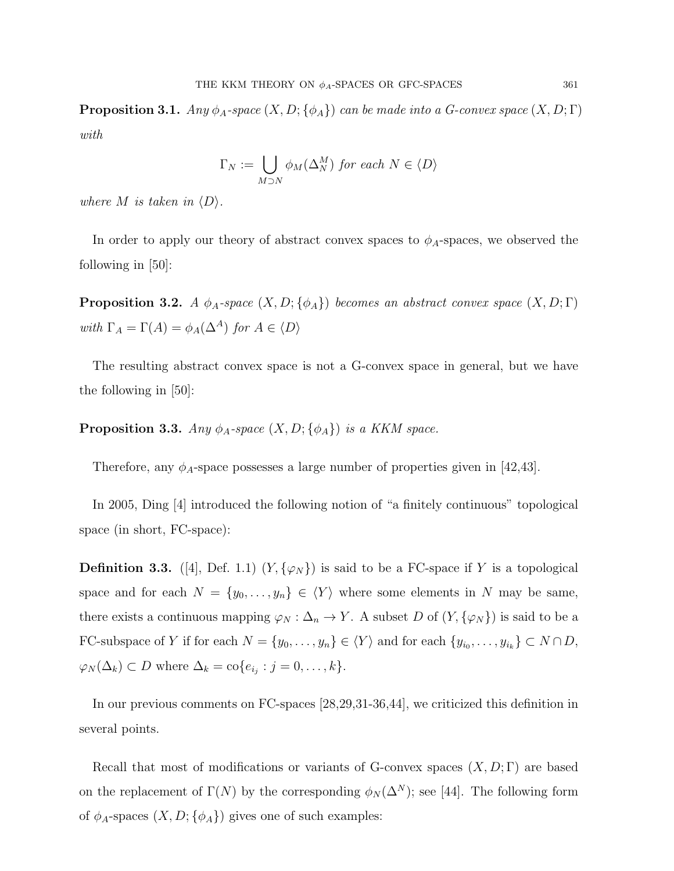**Proposition 3.1.** Any  $\phi_A$ -space  $(X, D; {\phi_A})$  can be made into a G-convex space  $(X, D; \Gamma)$ with

$$
\Gamma_N := \bigcup_{M \supset N} \phi_M(\Delta_N^M) \text{ for each } N \in \langle D \rangle
$$

where M is taken in  $\langle D \rangle$ .

In order to apply our theory of abstract convex spaces to  $\phi_A$ -spaces, we observed the following in [50]:

**Proposition 3.2.** A  $\phi_A$ -space  $(X, D; {\phi_A})$  becomes an abstract convex space  $(X, D; \Gamma)$ with  $\Gamma_A = \Gamma(A) = \phi_A(\Delta^A)$  for  $A \in \langle D \rangle$ 

The resulting abstract convex space is not a G-convex space in general, but we have the following in [50]:

**Proposition 3.3.** Any  $\phi_A$ -space  $(X, D; {\phi_A})$  is a KKM space.

Therefore, any  $\phi_A$ -space possesses a large number of properties given in [42,43].

In 2005, Ding [4] introduced the following notion of "a finitely continuous" topological space (in short, FC-space):

**Definition 3.3.** ([4], Def. 1.1)  $(Y, \{\varphi_N\})$  is said to be a FC-space if Y is a topological space and for each  $N = \{y_0, \ldots, y_n\} \in \langle Y \rangle$  where some elements in N may be same, there exists a continuous mapping  $\varphi_N : \Delta_n \to Y$ . A subset D of  $(Y, {\varphi_N})$  is said to be a FC-subspace of Y if for each  $N = \{y_0, \ldots, y_n\} \in \langle Y \rangle$  and for each  $\{y_{i_0}, \ldots, y_{i_k}\} \subset N \cap D$ ,  $\varphi_N(\Delta_k) \subset D$  where  $\Delta_k = \text{co}\{e_{i_j} : j = 0, \ldots, k\}.$ 

In our previous comments on FC-spaces [28,29,31-36,44], we criticized this definition in several points.

Recall that most of modifications or variants of G-convex spaces  $(X, D; \Gamma)$  are based on the replacement of  $\Gamma(N)$  by the corresponding  $\phi_N(\Delta^N)$ ; see [44]. The following form of  $\phi_A$ -spaces  $(X, D; {\phi_A})$  gives one of such examples: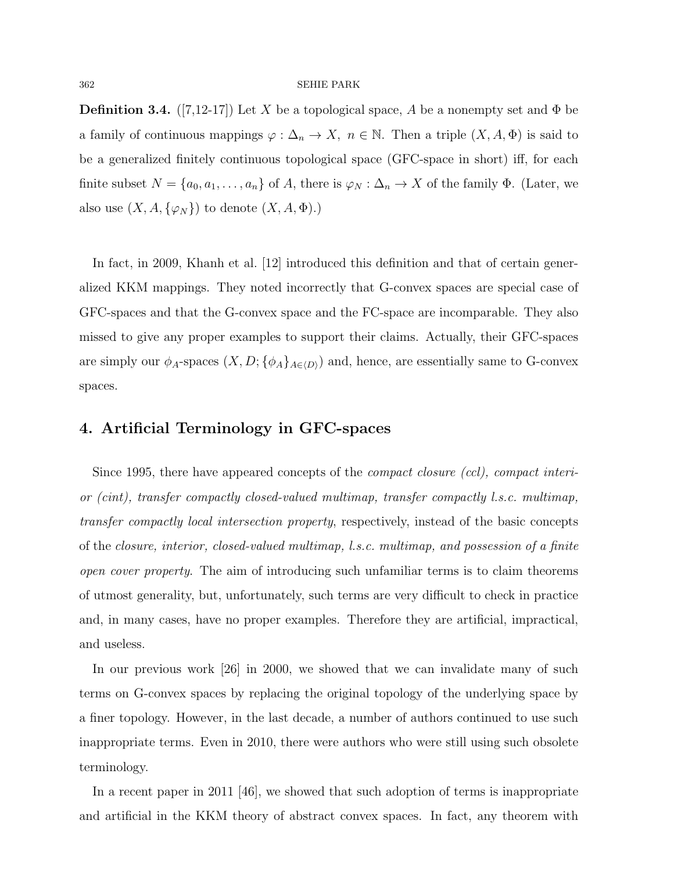**Definition 3.4.** ([7,12-17]) Let X be a topological space, A be a nonempty set and  $\Phi$  be a family of continuous mappings  $\varphi : \Delta_n \to X$ ,  $n \in \mathbb{N}$ . Then a triple  $(X, A, \Phi)$  is said to be a generalized finitely continuous topological space (GFC-space in short) iff, for each finite subset  $N = \{a_0, a_1, \ldots, a_n\}$  of A, there is  $\varphi_N : \Delta_n \to X$  of the family  $\Phi$ . (Later, we also use  $(X, A, \{\varphi_N\})$  to denote  $(X, A, \Phi)$ .)

In fact, in 2009, Khanh et al. [12] introduced this definition and that of certain generalized KKM mappings. They noted incorrectly that G-convex spaces are special case of GFC-spaces and that the G-convex space and the FC-space are incomparable. They also missed to give any proper examples to support their claims. Actually, their GFC-spaces are simply our  $\phi_A$ -spaces  $(X, D; {\phi_A}_{A\in(D)})$  and, hence, are essentially same to G-convex spaces.

### 4. Artificial Terminology in GFC-spaces

Since 1995, there have appeared concepts of the compact closure (ccl), compact interior (cint), transfer compactly closed-valued multimap, transfer compactly l.s.c. multimap, transfer compactly local intersection property, respectively, instead of the basic concepts of the closure, interior, closed-valued multimap, l.s.c. multimap, and possession of a finite open cover property. The aim of introducing such unfamiliar terms is to claim theorems of utmost generality, but, unfortunately, such terms are very difficult to check in practice and, in many cases, have no proper examples. Therefore they are artificial, impractical, and useless.

In our previous work [26] in 2000, we showed that we can invalidate many of such terms on G-convex spaces by replacing the original topology of the underlying space by a finer topology. However, in the last decade, a number of authors continued to use such inappropriate terms. Even in 2010, there were authors who were still using such obsolete terminology.

In a recent paper in 2011 [46], we showed that such adoption of terms is inappropriate and artificial in the KKM theory of abstract convex spaces. In fact, any theorem with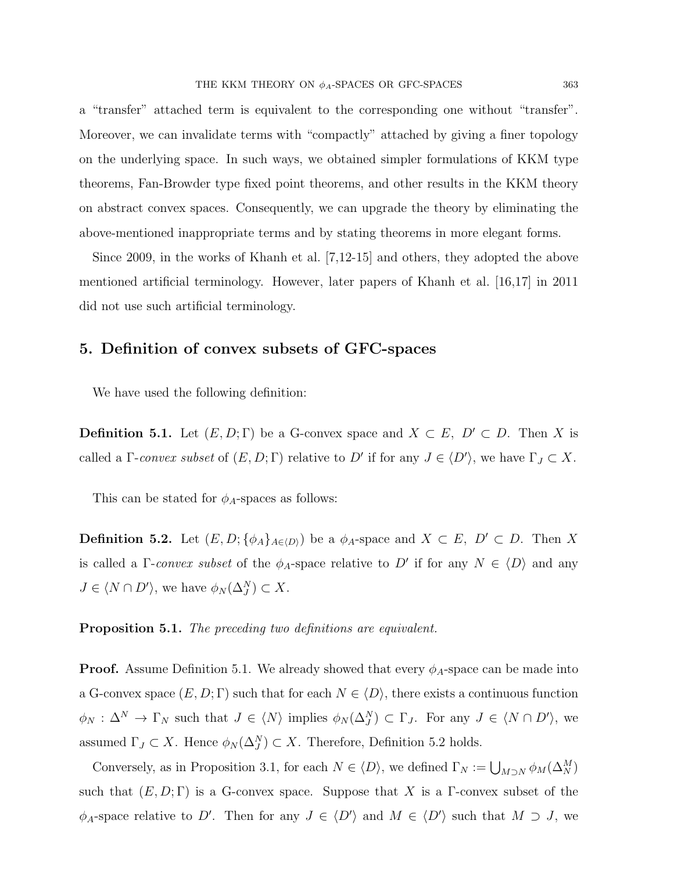a "transfer" attached term is equivalent to the corresponding one without "transfer". Moreover, we can invalidate terms with "compactly" attached by giving a finer topology on the underlying space. In such ways, we obtained simpler formulations of KKM type theorems, Fan-Browder type fixed point theorems, and other results in the KKM theory on abstract convex spaces. Consequently, we can upgrade the theory by eliminating the above-mentioned inappropriate terms and by stating theorems in more elegant forms.

Since 2009, in the works of Khanh et al. [7,12-15] and others, they adopted the above mentioned artificial terminology. However, later papers of Khanh et al. [16,17] in 2011 did not use such artificial terminology.

### 5. Definition of convex subsets of GFC-spaces

We have used the following definition:

**Definition 5.1.** Let  $(E, D; \Gamma)$  be a G-convex space and  $X \subset E$ ,  $D' \subset D$ . Then X is called a  $\Gamma$ -convex subset of  $(E, D; \Gamma)$  relative to D' if for any  $J \in \langle D' \rangle$ , we have  $\Gamma_J \subset X$ .

This can be stated for  $\phi_A$ -spaces as follows:

**Definition 5.2.** Let  $(E, D; {\phi_A}_{A\in\langle D \rangle})$  be a  $\phi_A$ -space and  $X \subset E$ ,  $D' \subset D$ . Then X is called a  $\Gamma$ -convex subset of the  $\phi_A$ -space relative to D' if for any  $N \in \langle D \rangle$  and any  $J \in \langle N \cap D' \rangle$ , we have  $\phi_N(\Delta_J^N) \subset X$ .

Proposition 5.1. The preceding two definitions are equivalent.

**Proof.** Assume Definition 5.1. We already showed that every  $\phi_A$ -space can be made into a G-convex space  $(E, D; \Gamma)$  such that for each  $N \in \langle D \rangle$ , there exists a continuous function  $\phi_N$ :  $\Delta^N \to \Gamma_N$  such that  $J \in \langle N \rangle$  implies  $\phi_N(\Delta_j^N) \subset \Gamma_J$ . For any  $J \in \langle N \cap D' \rangle$ , we assumed  $\Gamma_J \subset X$ . Hence  $\phi_N(\Delta_J^N) \subset X$ . Therefore, Definition 5.2 holds.

Conversely, as in Proposition 3.1, for each  $N \in \langle D \rangle$ , we defined  $\Gamma_N := \bigcup_{M \supset N} \phi_M(\Delta_N^M)$ such that  $(E, D; \Gamma)$  is a G-convex space. Suppose that X is a  $\Gamma$ -convex subset of the  $\phi_A$ -space relative to D'. Then for any  $J \in \langle D' \rangle$  and  $M \in \langle D' \rangle$  such that  $M \supset J$ , we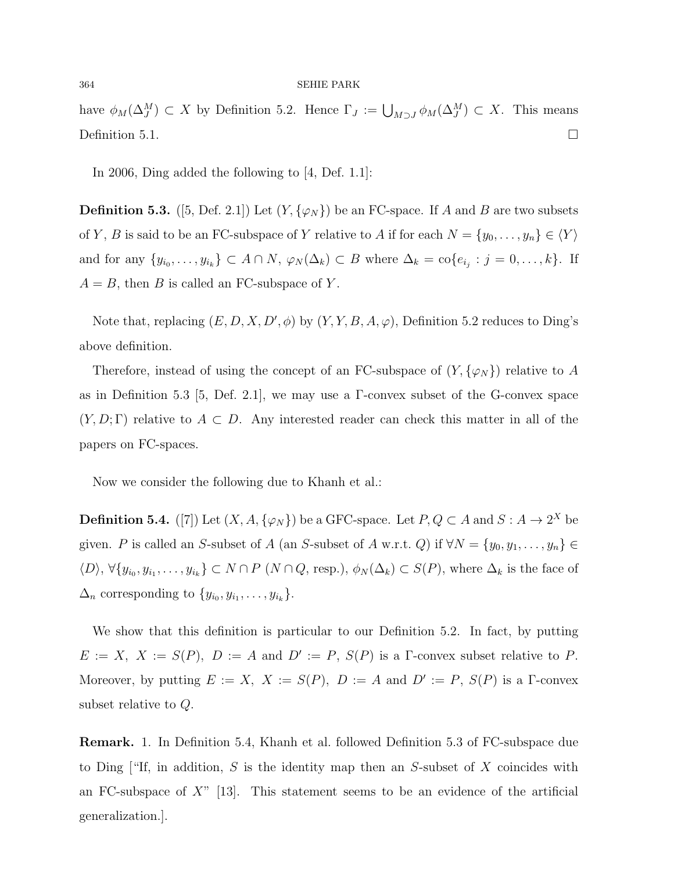have  $\phi_M(\Delta_J^M) \subset X$  by Definition 5.2. Hence  $\Gamma_J := \bigcup_{M \supset J} \phi_M(\Delta_J^M) \subset X$ . This means Definition 5.1.  $\Box$ 

In 2006, Ding added the following to [4, Def. 1.1]:

**Definition 5.3.** ([5, Def. 2.1]) Let  $(Y, \{\varphi_N\})$  be an FC-space. If A and B are two subsets of Y, B is said to be an FC-subspace of Y relative to A if for each  $N = \{y_0, \ldots, y_n\} \in \langle Y \rangle$ and for any  $\{y_{i_0},\ldots,y_{i_k}\}\subset A\cap N$ ,  $\varphi_N(\Delta_k)\subset B$  where  $\Delta_k=\text{co}\{e_{i_j}:j=0,\ldots,k\}$ . If  $A = B$ , then B is called an FC-subspace of Y.

Note that, replacing  $(E, D, X, D', \phi)$  by  $(Y, Y, B, A, \varphi)$ , Definition 5.2 reduces to Ding's above definition.

Therefore, instead of using the concept of an FC-subspace of  $(Y, {\varphi_N})$  relative to A as in Definition 5.3 [5, Def. 2.1], we may use a  $\Gamma$ -convex subset of the G-convex space  $(Y, D; \Gamma)$  relative to  $A \subset D$ . Any interested reader can check this matter in all of the papers on FC-spaces.

Now we consider the following due to Khanh et al.:

**Definition 5.4.** ([7]) Let  $(X, A, \{\varphi_N\})$  be a GFC-space. Let  $P, Q \subset A$  and  $S: A \to 2^X$  be given. P is called an S-subset of A (an S-subset of A w.r.t. Q) if  $\forall N = \{y_0, y_1, \ldots, y_n\} \in$  $\langle D \rangle$ ,  $\forall \{y_{i_0}, y_{i_1}, \ldots, y_{i_k}\} \subset N \cap P$   $(N \cap Q, \text{resp.}), \phi_N(\Delta_k) \subset S(P)$ , where  $\Delta_k$  is the face of  $\Delta_n$  corresponding to  $\{y_{i_0}, y_{i_1}, \ldots, y_{i_k}\}.$ 

We show that this definition is particular to our Definition 5.2. In fact, by putting  $E := X$ ,  $X := S(P)$ ,  $D := A$  and  $D' := P$ ,  $S(P)$  is a  $\Gamma$ -convex subset relative to P. Moreover, by putting  $E := X$ ,  $X := S(P)$ ,  $D := A$  and  $D' := P$ ,  $S(P)$  is a  $\Gamma$ -convex subset relative to Q.

Remark. 1. In Definition 5.4, Khanh et al. followed Definition 5.3 of FC-subspace due to Ding ["If, in addition,  $S$  is the identity map then an  $S$ -subset of  $X$  coincides with an FC-subspace of  $X^{\prime\prime}$  [13]. This statement seems to be an evidence of the artificial generalization.].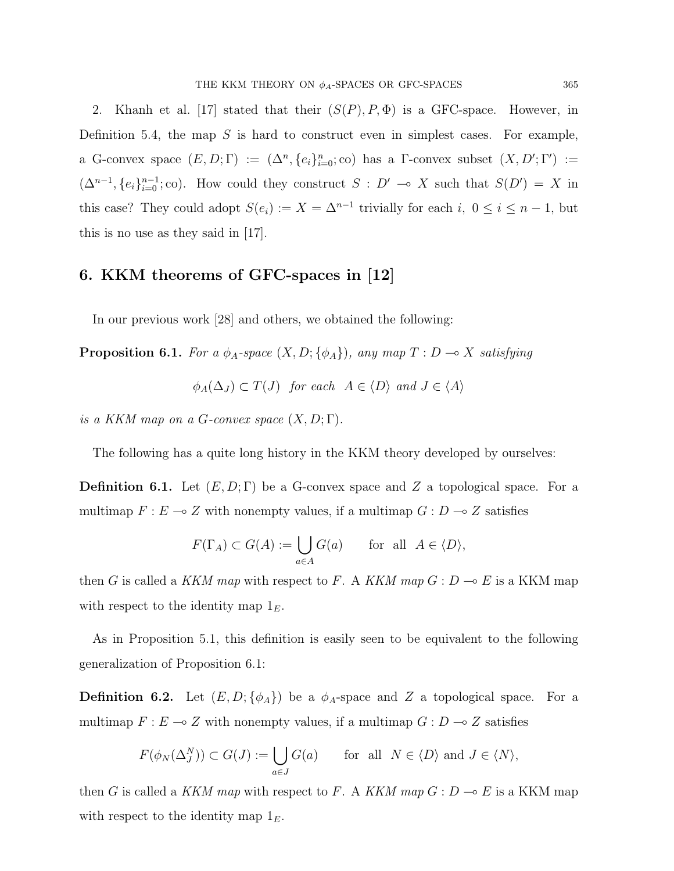2. Khanh et al. [17] stated that their  $(S(P), P, \Phi)$  is a GFC-space. However, in Definition 5.4, the map  $S$  is hard to construct even in simplest cases. For example, a G-convex space  $(E, D; \Gamma) := (\Delta^n, \{e_i\}_{i=0}^n; \text{co})$  has a  $\Gamma$ -convex subset  $(X, D'; \Gamma') :=$  $(\Delta^{n-1}, \{e_i\}_{i=0}^{n-1}; \text{co})$ . How could they construct  $S : D' \to X$  such that  $S(D') = X$  in this case? They could adopt  $S(e_i) := X = \Delta^{n-1}$  trivially for each  $i, 0 \le i \le n-1$ , but this is no use as they said in [17].

### 6. KKM theorems of GFC-spaces in [12]

In our previous work [28] and others, we obtained the following:

**Proposition 6.1.** For a  $\phi_A$ -space  $(X, D; {\phi_A})$ , any map  $T : D \to X$  satisfying

 $\phi_A(\Delta_J) \subset T(J)$  for each  $A \in \langle D \rangle$  and  $J \in \langle A \rangle$ 

is a KKM map on a G-convex space  $(X, D; \Gamma)$ .

The following has a quite long history in the KKM theory developed by ourselves:

**Definition 6.1.** Let  $(E, D; \Gamma)$  be a G-convex space and Z a topological space. For a multimap  $F : E \longrightarrow Z$  with nonempty values, if a multimap  $G : D \longrightarrow Z$  satisfies

$$
F(\Gamma_A) \subset G(A) := \bigcup_{a \in A} G(a) \quad \text{for all } A \in \langle D \rangle,
$$

then G is called a KKM map with respect to F. A KKM map  $G: D \to E$  is a KKM map with respect to the identity map  $1<sub>E</sub>$ .

As in Proposition 5.1, this definition is easily seen to be equivalent to the following generalization of Proposition 6.1:

**Definition 6.2.** Let  $(E, D; \{\phi_A\})$  be a  $\phi_A$ -space and Z a topological space. For a multimap  $F : E \longrightarrow Z$  with nonempty values, if a multimap  $G : D \longrightarrow Z$  satisfies

$$
F(\phi_N(\Delta_J^N)) \subset G(J) := \bigcup_{a \in J} G(a) \quad \text{for all } N \in \langle D \rangle \text{ and } J \in \langle N \rangle,
$$

then G is called a KKM map with respect to F. A KKM map  $G: D \to E$  is a KKM map with respect to the identity map  $1<sub>E</sub>$ .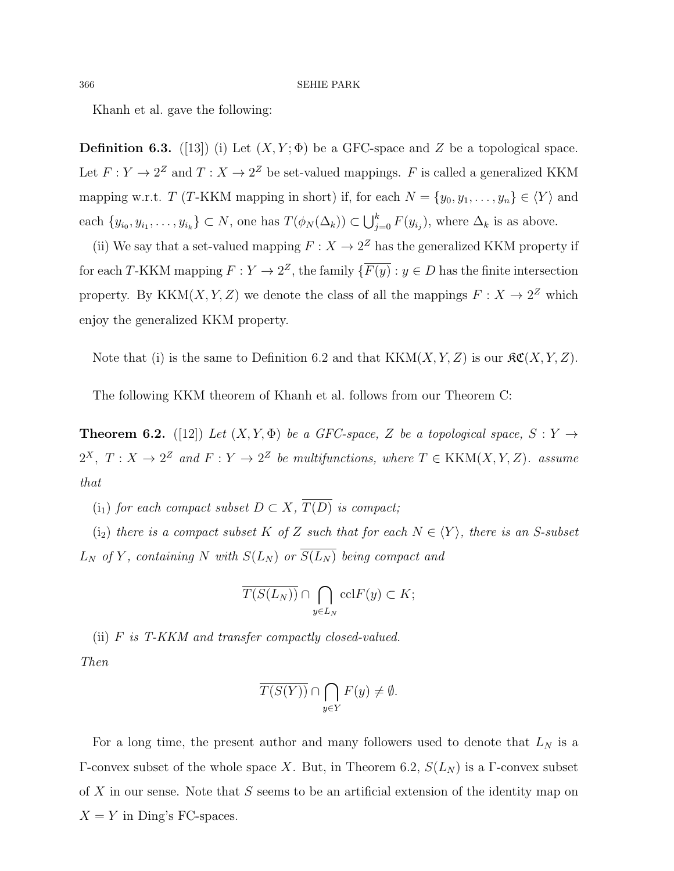Khanh et al. gave the following:

**Definition 6.3.** ([13]) (i) Let  $(X, Y; \Phi)$  be a GFC-space and Z be a topological space. Let  $F: Y \to 2^Z$  and  $T: X \to 2^Z$  be set-valued mappings. F is called a generalized KKM mapping w.r.t. T (T-KKM mapping in short) if, for each  $N = \{y_0, y_1, \ldots, y_n\} \in \langle Y \rangle$  and each  $\{y_{i_0}, y_{i_1}, \ldots, y_{i_k}\} \subset N$ , one has  $T(\phi_N(\Delta_k)) \subset \bigcup_{j=0}^k F(y_{i_j})$ , where  $\Delta_k$  is as above.

(ii) We say that a set-valued mapping  $F: X \to 2^Z$  has the generalized KKM property if for each T-KKM mapping  $F: Y \to 2^Z$ , the family  $\{\overline{F(y)}: y \in D \text{ has the finite intersection}\}$ property. By KKM $(X, Y, Z)$  we denote the class of all the mappings  $F: X \to 2^Z$  which enjoy the generalized KKM property.

Note that (i) is the same to Definition 6.2 and that  $KKM(X, Y, Z)$  is our  $\mathcal{RC}(X, Y, Z)$ .

The following KKM theorem of Khanh et al. follows from our Theorem C:

**Theorem 6.2.** ([12]) Let  $(X, Y, \Phi)$  be a GFC-space, Z be a topological space,  $S: Y \rightarrow$  $2^X$ ,  $T: X \to 2^Z$  and  $F: Y \to 2^Z$  be multifunctions, where  $T \in KKM(X,Y,Z)$ . assume that

(i<sub>1</sub>) for each compact subset  $D \subset X$ ,  $\overline{T(D)}$  is compact;

(i<sub>2</sub>) there is a compact subset K of Z such that for each  $N \in \langle Y \rangle$ , there is an S-subset  $L_N$  of Y, containing N with  $S(L_N)$  or  $S(L_N)$  being compact and

$$
\overline{T(S(L_N))} \cap \bigcap_{y \in L_N} \operatorname{ccl} F(y) \subset K;
$$

(ii) F is T-KKM and transfer compactly closed-valued.

Then

$$
\overline{T(S(Y))} \cap \bigcap_{y \in Y} F(y) \neq \emptyset.
$$

For a long time, the present author and many followers used to denote that  $L_N$  is a Γ-convex subset of the whole space X. But, in Theorem 6.2,  $S(L_N)$  is a Γ-convex subset of X in our sense. Note that S seems to be an artificial extension of the identity map on  $X = Y$  in Ding's FC-spaces.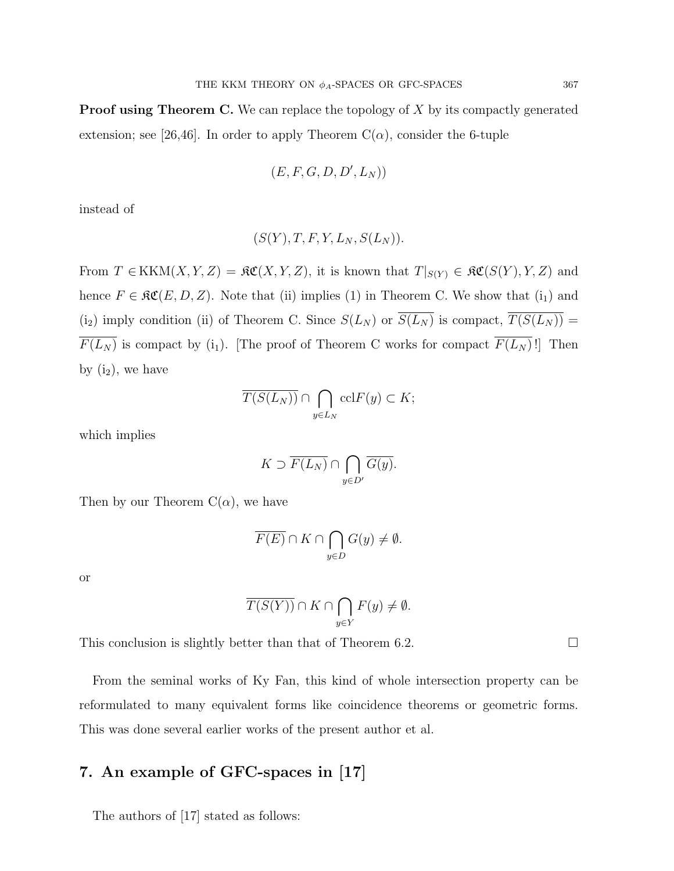**Proof using Theorem C.** We can replace the topology of  $X$  by its compactly generated extension; see [26,46]. In order to apply Theorem  $C(\alpha)$ , consider the 6-tuple

$$
(E, F, G, D, D', L_N))
$$

instead of

$$
(S(Y), T, F, Y, L_N, S(L_N)).
$$

From  $T \in KKM(X, Y, Z) = \mathfrak{RC}(X, Y, Z)$ , it is known that  $T|_{S(Y)} \in \mathfrak{RC}(S(Y), Y, Z)$  and hence  $F \in \mathfrak{RC}(E, D, Z)$ . Note that (ii) implies (1) in Theorem C. We show that (i<sub>1</sub>) and (i<sub>2</sub>) imply condition (ii) of Theorem C. Since  $S(L_N)$  or  $\overline{S(L_N)}$  is compact,  $\overline{T(S(L_N))}$  =  $\overline{F(L_N)}$  is compact by (i<sub>1</sub>). [The proof of Theorem C works for compact  $\overline{F(L_N)}$ !] Then by  $(i_2)$ , we have

$$
\overline{T(S(L_N))} \cap \bigcap_{y \in L_N} \operatorname{ccl} F(y) \subset K;
$$

which implies

$$
K \supset \overline{F(L_N)} \cap \bigcap_{y \in D'} \overline{G(y)}.
$$

Then by our Theorem  $C(\alpha)$ , we have

$$
\overline{F(E)} \cap K \cap \bigcap_{y \in D} G(y) \neq \emptyset.
$$

or

$$
\overline{T(S(Y))} \cap K \cap \bigcap_{y \in Y} F(y) \neq \emptyset.
$$

This conclusion is slightly better than that of Theorem 6.2.  $\Box$ 

From the seminal works of Ky Fan, this kind of whole intersection property can be reformulated to many equivalent forms like coincidence theorems or geometric forms. This was done several earlier works of the present author et al.

# 7. An example of GFC-spaces in [17]

The authors of [17] stated as follows: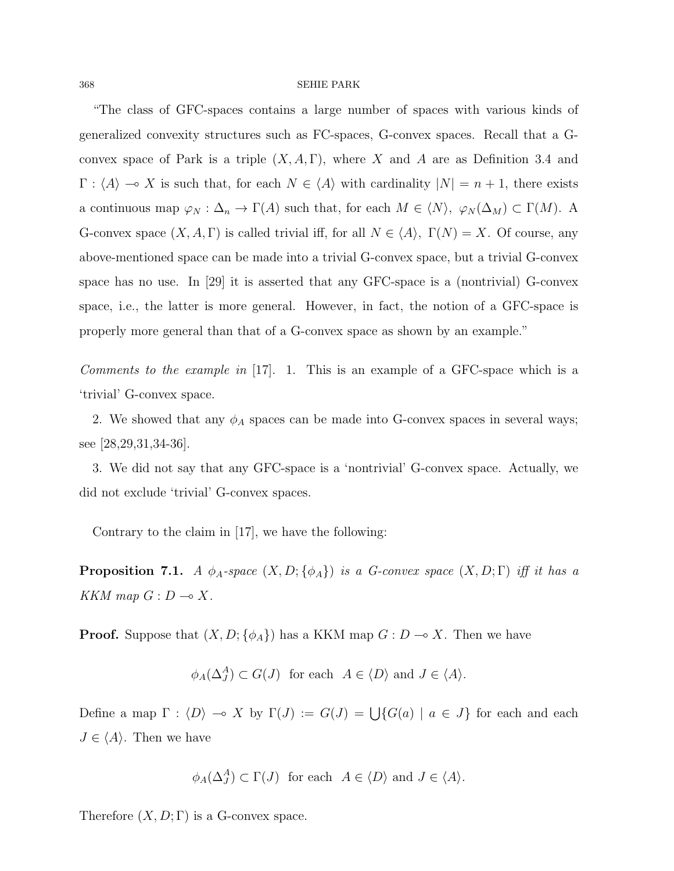"The class of GFC-spaces contains a large number of spaces with various kinds of generalized convexity structures such as FC-spaces, G-convex spaces. Recall that a Gconvex space of Park is a triple  $(X, A, \Gamma)$ , where X and A are as Definition 3.4 and  $\Gamma$  :  $\langle A \rangle \to X$  is such that, for each  $N \in \langle A \rangle$  with cardinality  $|N| = n + 1$ , there exists a continuous map  $\varphi_N : \Delta_n \to \Gamma(A)$  such that, for each  $M \in \langle N \rangle$ ,  $\varphi_N(\Delta_M) \subset \Gamma(M)$ . A G-convex space  $(X, A, \Gamma)$  is called trivial iff, for all  $N \in \langle A \rangle$ ,  $\Gamma(N) = X$ . Of course, any above-mentioned space can be made into a trivial G-convex space, but a trivial G-convex space has no use. In  $[29]$  it is asserted that any GFC-space is a (nontrivial) G-convex space, i.e., the latter is more general. However, in fact, the notion of a GFC-space is properly more general than that of a G-convex space as shown by an example."

Comments to the example in [17]. 1. This is an example of a GFC-space which is a 'trivial' G-convex space.

2. We showed that any  $\phi_A$  spaces can be made into G-convex spaces in several ways; see [28,29,31,34-36].

3. We did not say that any GFC-space is a 'nontrivial' G-convex space. Actually, we did not exclude 'trivial' G-convex spaces.

Contrary to the claim in [17], we have the following:

**Proposition 7.1.** A  $\phi_A$ -space  $(X, D; {\phi_A})$  is a G-convex space  $(X, D; \Gamma)$  iff it has a KKM map  $G : D \longrightarrow X$ .

**Proof.** Suppose that  $(X, D; \{\phi_A\})$  has a KKM map  $G: D \to X$ . Then we have

$$
\phi_A(\Delta_J^A) \subset G(J)
$$
 for each  $A \in \langle D \rangle$  and  $J \in \langle A \rangle$ .

Define a map  $\Gamma : \langle D \rangle \to X$  by  $\Gamma(J) := G(J) = \bigcup \{ G(a) \mid a \in J \}$  for each and each  $J \in \langle A \rangle$ . Then we have

$$
\phi_A(\Delta_J^A) \subset \Gamma(J)
$$
 for each  $A \in \langle D \rangle$  and  $J \in \langle A \rangle$ .

Therefore  $(X, D; \Gamma)$  is a G-convex space.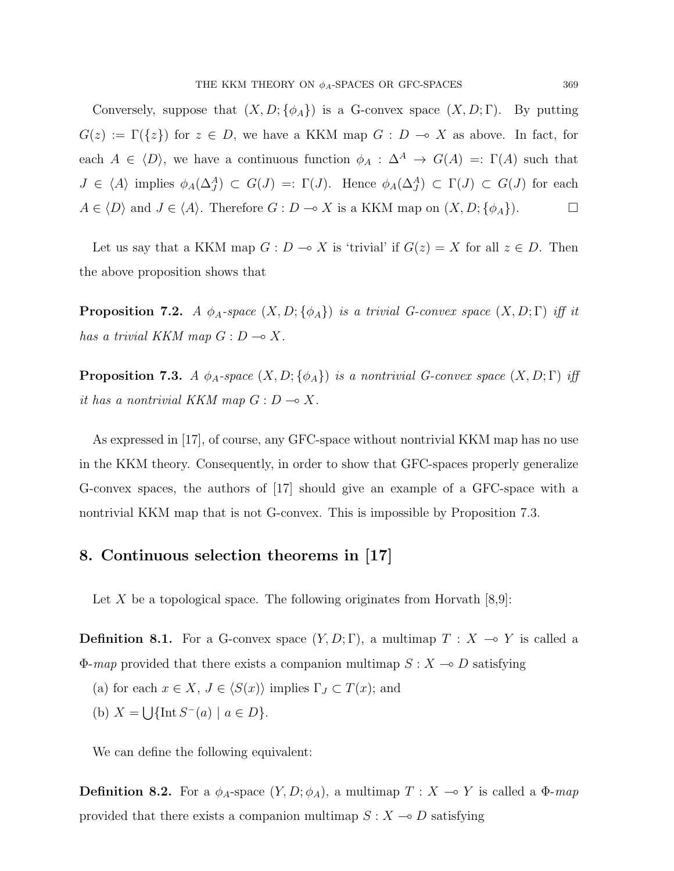Conversely, suppose that  $(X, D; {\phi_A})$  is a G-convex space  $(X, D; \Gamma)$ . By putting  $G(z) := \Gamma({z})$  for  $z \in D$ , we have a KKM map  $G : D \multimap X$  as above. In fact, for each  $A \in \langle D \rangle$ , we have a continuous function  $\phi_A : \Delta^A \to G(A) =: \Gamma(A)$  such that  $J \in \langle A \rangle$  implies  $\phi_A(\Delta_J^A) \subset G(J) =: \Gamma(J)$ . Hence  $\phi_A(\Delta_J^A) \subset \Gamma(J) \subset G(J)$  for each  $A \in \langle D \rangle$  and  $J \in \langle A \rangle$ . Therefore  $G : D \to X$  is a KKM map on  $(X, D; {\phi_A})$ .

Let us say that a KKM map  $G: D \to X$  is 'trivial' if  $G(z) = X$  for all  $z \in D$ . Then the above proposition shows that

**Proposition 7.2.** A  $\phi_A$ -space  $(X, D; {\phi_A})$  is a trivial G-convex space  $(X, D; \Gamma)$  iff it has a trivial KKM map  $G: D \longrightarrow X$ .

**Proposition 7.3.** A  $\phi_A$ -space  $(X, D; {\phi_A})$  is a nontrivial G-convex space  $(X, D; \Gamma)$  iff it has a nontrivial KKM map  $G: D \longrightarrow X$ .

As expressed in [17], of course, any GFC-space without nontrivial KKM map has no use in the KKM theory. Consequently, in order to show that GFC-spaces properly generalize G-convex spaces, the authors of [17] should give an example of a GFC-space with a nontrivial KKM map that is not G-convex. This is impossible by Proposition 7.3.

### 8. Continuous selection theorems in [17]

Let X be a topological space. The following originates from Horvath  $[8,9]$ :

**Definition 8.1.** For a G-convex space  $(Y, D; \Gamma)$ , a multimap  $T : X \to Y$  is called a  $\Phi$ -*map* provided that there exists a companion multimap  $S : X \to D$  satisfying

- (a) for each  $x \in X$ ,  $J \in \langle S(x) \rangle$  implies  $\Gamma_J \subset T(x)$ ; and
- (b)  $X = \bigcup \{ \text{Int } S^{-}(a) \mid a \in D \}.$

We can define the following equivalent:

**Definition 8.2.** For a  $\phi_A$ -space  $(Y, D; \phi_A)$ , a multimap  $T : X \multimap Y$  is called a  $\Phi$ -map provided that there exists a companion multimap  $S : X \longrightarrow D$  satisfying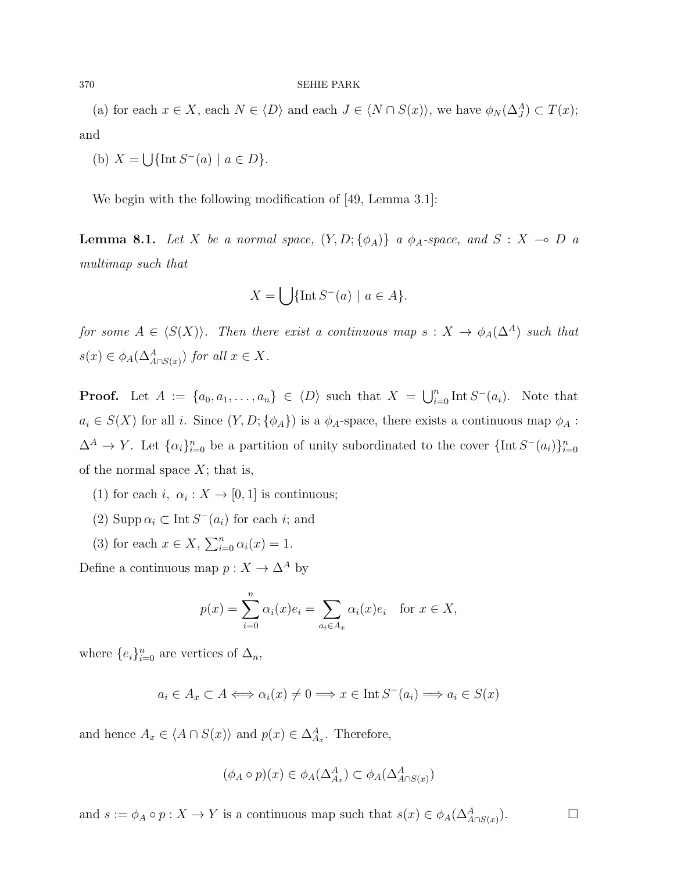(a) for each  $x \in X$ , each  $N \in \langle D \rangle$  and each  $J \in \langle N \cap S(x) \rangle$ , we have  $\phi_N(\Delta_J^A) \subset T(x)$ ; and

(b) 
$$
X = \bigcup \{ \text{Int } S^-(a) \mid a \in D \}.
$$

We begin with the following modification of [49, Lemma 3.1]:

**Lemma 8.1.** Let X be a normal space,  $(Y, D; \{\phi_A\})$  a  $\phi_A$ -space, and  $S : X \multimap D$  a multimap such that

$$
X = \bigcup \{ \text{Int } S^-(a) \mid a \in A \}.
$$

for some  $A \in \langle S(X) \rangle$ . Then there exist a continuous map  $s : X \to \phi_A(\Delta^A)$  such that  $s(x) \in \phi_A(\Delta^A_{A \cap S(x)})$  for all  $x \in X$ .

**Proof.** Let  $A := \{a_0, a_1, \ldots, a_n\} \in \langle D \rangle$  such that  $X = \bigcup_{i=0}^n \text{Int } S^-(a_i)$ . Note that  $a_i \in S(X)$  for all i. Since  $(Y, D; {\phi_A})$  is a  $\phi_A$ -space, there exists a continuous map  $\phi_A$ :  $\Delta^A \to Y$ . Let  $\{\alpha_i\}_{i=0}^n$  be a partition of unity subordinated to the cover  $\{\text{Int } S^-(a_i)\}_{i=0}^n$ of the normal space  $X$ ; that is,

- (1) for each  $i, \alpha_i : X \to [0,1]$  is continuous;
- (2) Supp  $\alpha_i \subset \text{Int } S^-(a_i)$  for each *i*; and
- (3) for each  $x \in X$ ,  $\sum_{i=0}^{n} \alpha_i(x) = 1$ .

Define a continuous map  $p:X\to \Delta^A$  by

$$
p(x) = \sum_{i=0}^{n} \alpha_i(x)e_i = \sum_{a_i \in A_x} \alpha_i(x)e_i \text{ for } x \in X,
$$

where  $\{e_i\}_{i=0}^n$  are vertices of  $\Delta_n$ ,

$$
a_i \in A_x \subset A \Longleftrightarrow \alpha_i(x) \neq 0 \Longrightarrow x \in \text{Int } S^-(a_i) \Longrightarrow a_i \in S(x)
$$

and hence  $A_x \in \langle A \cap S(x) \rangle$  and  $p(x) \in \Delta_{A_x}^A$ . Therefore,

$$
(\phi_A \circ p)(x) \in \phi_A(\Delta_{A_x}^A) \subset \phi_A(\Delta_{A \cap S(x)}^A)
$$

 $\Box$ 

and  $s := \phi_A \circ p : X \to Y$  is a continuous map such that  $s(x) \in \phi_A(\Delta^A_{A \cap S(x)})$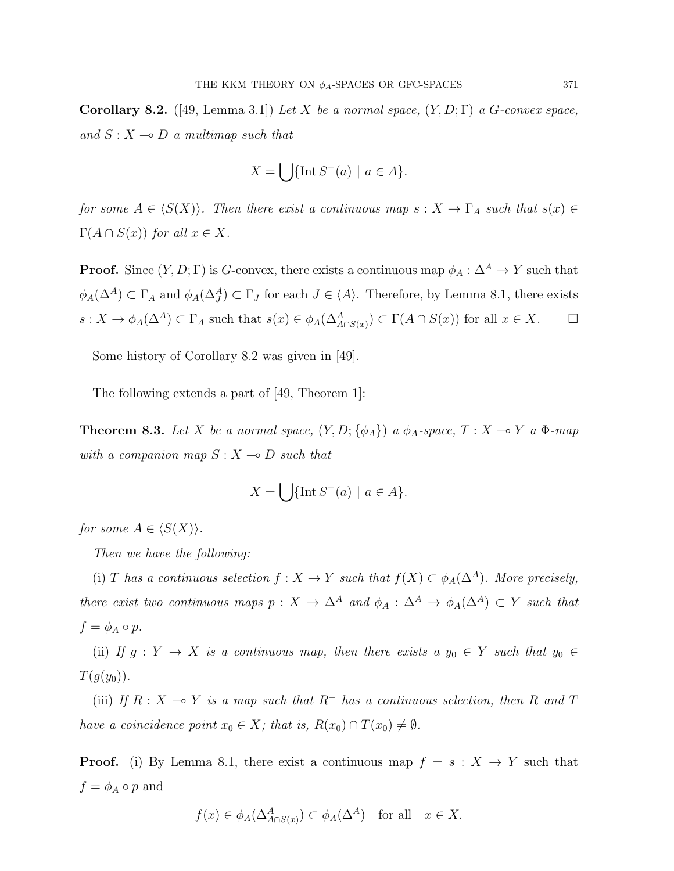**Corollary 8.2.** ([49, Lemma 3.1]) Let X be a normal space,  $(Y, D; \Gamma)$  a G-convex space, and  $S: X \rightarrow D$  a multimap such that

$$
X = \bigcup \{ \text{Int } S^-(a) \mid a \in A \}.
$$

for some  $A \in \langle S(X) \rangle$ . Then there exist a continuous map  $s : X \to \Gamma_A$  such that  $s(x) \in$  $\Gamma(A \cap S(x))$  for all  $x \in X$ .

**Proof.** Since  $(Y, D; \Gamma)$  is G-convex, there exists a continuous map  $\phi_A : \Delta^A \to Y$  such that  $\phi_A(\Delta^A) \subset \Gamma_A$  and  $\phi_A(\Delta^A_J) \subset \Gamma_J$  for each  $J \in \langle A \rangle$ . Therefore, by Lemma 8.1, there exists  $s: X \to \phi_A(\Delta^A) \subset \Gamma_A$  such that  $s(x) \in \phi_A(\Delta^A_{A \cap S(x)}) \subset \Gamma(A \cap S(x))$  for all  $x \in X$ .  $\Box$ 

Some history of Corollary 8.2 was given in [49].

The following extends a part of [49, Theorem 1]:

**Theorem 8.3.** Let X be a normal space,  $(Y, D; \{\phi_A\})$  a  $\phi_A$ -space,  $T : X \multimap Y$  a  $\Phi$ -map with a companion map  $S : X \longrightarrow D$  such that

$$
X = \bigcup \{ \text{Int } S^-(a) \mid a \in A \}.
$$

for some  $A \in \langle S(X) \rangle$ .

Then we have the following:

(i) T has a continuous selection  $f : X \to Y$  such that  $f(X) \subset \phi_A(\Delta^A)$ . More precisely, there exist two continuous maps  $p : X \to \Delta^A$  and  $\phi_A : \Delta^A \to \phi_A(\Delta^A) \subset Y$  such that  $f = \phi_A \circ p.$ 

(ii) If  $g: Y \to X$  is a continuous map, then there exists a  $y_0 \in Y$  such that  $y_0 \in Y$  $T(g(y_0))$ .

(iii) If  $R : X \to Y$  is a map such that  $R^-$  has a continuous selection, then R and T have a coincidence point  $x_0 \in X$ ; that is,  $R(x_0) \cap T(x_0) \neq \emptyset$ .

**Proof.** (i) By Lemma 8.1, there exist a continuous map  $f = s : X \rightarrow Y$  such that  $f = \phi_A \circ p$  and

$$
f(x) \in \phi_A(\Delta^A_{A \cap S(x)}) \subset \phi_A(\Delta^A)
$$
 for all  $x \in X$ .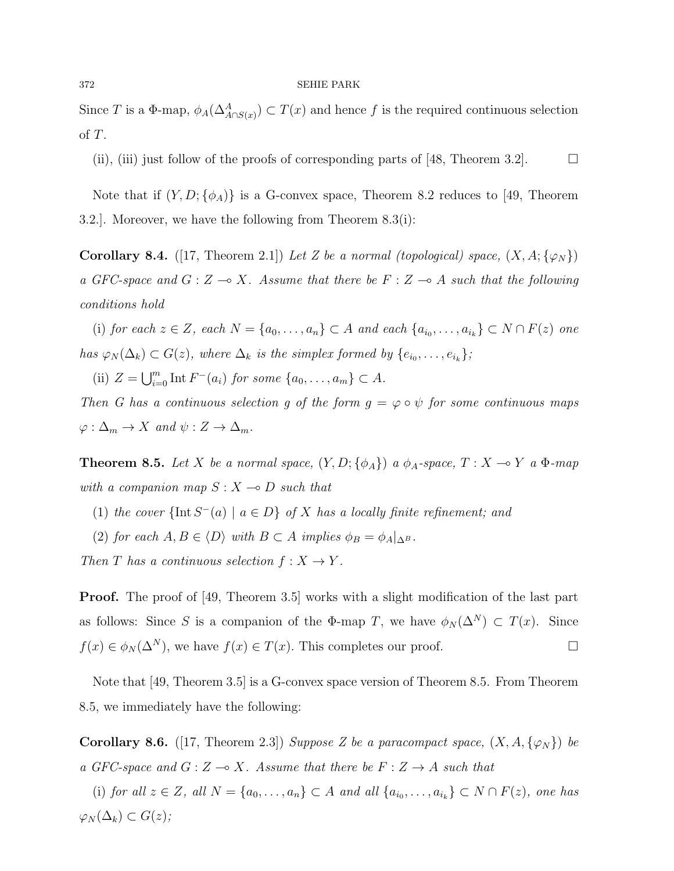Since T is a  $\Phi$ -map,  $\phi_A(\Delta^A_{A \cap S(x)}) \subset T(x)$  and hence f is the required continuous selection of T.

(ii), (iii) just follow of the proofs of corresponding parts of [48, Theorem 3.2].  $\Box$ 

Note that if  $(Y, D; \{\phi_A\})$  is a G-convex space, Theorem 8.2 reduces to [49, Theorem 3.2.]. Moreover, we have the following from Theorem 8.3(i):

Corollary 8.4. ([17, Theorem 2.1]) Let Z be a normal (topological) space,  $(X, A; \{\varphi_N\})$ a GFC-space and  $G : Z \longrightarrow X$ . Assume that there be  $F : Z \longrightarrow A$  such that the following conditions hold

(i) for each  $z \in Z$ , each  $N = \{a_0, \ldots, a_n\} \subset A$  and each  $\{a_{i_0}, \ldots, a_{i_k}\} \subset N \cap F(z)$  one has  $\varphi_N(\Delta_k) \subset G(z)$ , where  $\Delta_k$  is the simplex formed by  $\{e_{i_0}, \ldots, e_{i_k}\}$ ;

(ii)  $Z = \bigcup_{i=0}^{m} \text{Int } F^{-}(a_i)$  for some  $\{a_0, \ldots, a_m\} \subset A$ .

Then G has a continuous selection g of the form  $g = \varphi \circ \psi$  for some continuous maps  $\varphi : \Delta_m \to X$  and  $\psi : Z \to \Delta_m$ .

**Theorem 8.5.** Let X be a normal space,  $(Y, D; {\phi_A})$  a  $\phi_A$ -space,  $T : X \multimap Y$  a  $\Phi$ -map with a companion map  $S : X \longrightarrow D$  such that

- (1) the cover  $\{\text{Int } S^{-}(a) \mid a \in D\}$  of X has a locally finite refinement; and
- (2) for each  $A, B \in \langle D \rangle$  with  $B \subset A$  implies  $\phi_B = \phi_A|_{\Delta^B}$ .

Then T has a continuous selection  $f: X \to Y$ .

**Proof.** The proof of [49, Theorem 3.5] works with a slight modification of the last part as follows: Since S is a companion of the  $\Phi$ -map T, we have  $\phi_N(\Delta^N) \subset T(x)$ . Since  $f(x) \in \phi_N(\Delta^N)$ , we have  $f(x) \in T(x)$ . This completes our proof.

Note that [49, Theorem 3.5] is a G-convex space version of Theorem 8.5. From Theorem 8.5, we immediately have the following:

**Corollary 8.6.** ([17, Theorem 2.3]) Suppose Z be a paracompact space,  $(X, A, \{\varphi_N\})$  be a GFC-space and  $G : Z \longrightarrow X$ . Assume that there be  $F : Z \longrightarrow A$  such that

(i) for all  $z \in Z$ , all  $N = \{a_0, \ldots, a_n\} \subset A$  and all  $\{a_{i_0}, \ldots, a_{i_k}\} \subset N \cap F(z)$ , one has  $\varphi_N(\Delta_k) \subset G(z);$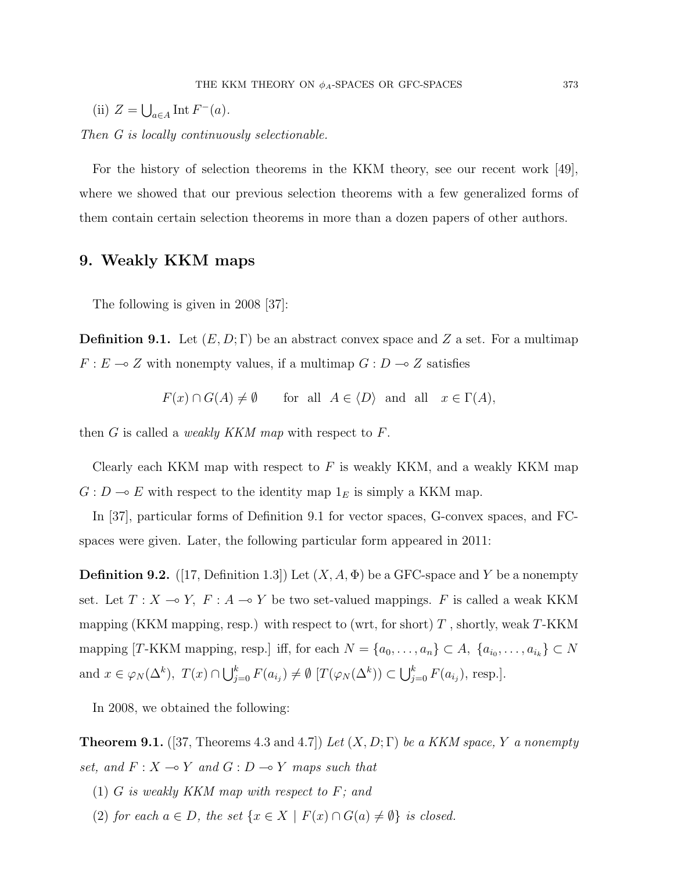(ii)  $Z = \bigcup_{a \in A} \text{Int } F^-(a)$ .

Then G is locally continuously selectionable.

For the history of selection theorems in the KKM theory, see our recent work [49], where we showed that our previous selection theorems with a few generalized forms of them contain certain selection theorems in more than a dozen papers of other authors.

### 9. Weakly KKM maps

The following is given in 2008 [37]:

**Definition 9.1.** Let  $(E, D; \Gamma)$  be an abstract convex space and Z a set. For a multimap  $F : E \longrightarrow Z$  with nonempty values, if a multimap  $G : D \longrightarrow Z$  satisfies

$$
F(x) \cap G(A) \neq \emptyset
$$
 for all  $A \in \langle D \rangle$  and all  $x \in \Gamma(A)$ ,

then G is called a *weakly KKM map* with respect to  $F$ .

Clearly each KKM map with respect to  $F$  is weakly KKM, and a weakly KKM map  $G: D \longrightarrow E$  with respect to the identity map  $1_E$  is simply a KKM map.

In [37], particular forms of Definition 9.1 for vector spaces, G-convex spaces, and FCspaces were given. Later, the following particular form appeared in 2011:

**Definition 9.2.** ([17, Definition 1.3]) Let  $(X, A, \Phi)$  be a GFC-space and Y be a nonempty set. Let  $T : X \multimap Y$ ,  $F : A \multimap Y$  be two set-valued mappings.  $F$  is called a weak KKM mapping (KKM mapping, resp.) with respect to (wrt, for short)  $T$ , shortly, weak  $T$ -KKM mapping [T-KKM mapping, resp.] iff, for each  $N = \{a_0, \ldots, a_n\} \subset A$ ,  $\{a_{i_0}, \ldots, a_{i_k}\} \subset N$ and  $x \in \varphi_N(\Delta^k)$ ,  $T(x) \cap \bigcup_{j=0}^k F(a_{i_j}) \neq \emptyset$   $[T(\varphi_N(\Delta^k)) \subset \bigcup_{j=0}^k F(a_{i_j})$ , resp.].

In 2008, we obtained the following:

**Theorem 9.1.** ([37, Theorems 4.3 and 4.7]) Let  $(X, D; \Gamma)$  be a KKM space, Y a nonempty set, and  $F : X \longrightarrow Y$  and  $G : D \longrightarrow Y$  maps such that

- $(1)$  G is weakly KKM map with respect to F; and
- (2) for each  $a \in D$ , the set  $\{x \in X \mid F(x) \cap G(a) \neq \emptyset\}$  is closed.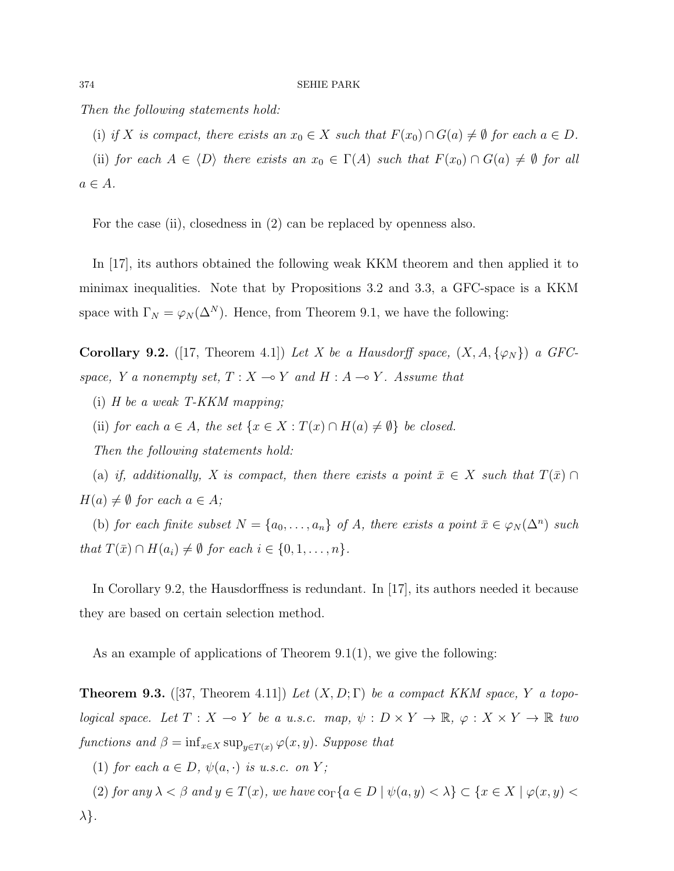Then the following statements hold:

(i) if X is compact, there exists an  $x_0 \in X$  such that  $F(x_0) \cap G(a) \neq \emptyset$  for each  $a \in D$ .

(ii) for each  $A \in \langle D \rangle$  there exists an  $x_0 \in \Gamma(A)$  such that  $F(x_0) \cap G(a) \neq \emptyset$  for all  $a \in A$ .

For the case (ii), closedness in (2) can be replaced by openness also.

In [17], its authors obtained the following weak KKM theorem and then applied it to minimax inequalities. Note that by Propositions 3.2 and 3.3, a GFC-space is a KKM space with  $\Gamma_N = \varphi_N(\Delta^N)$ . Hence, from Theorem 9.1, we have the following:

Corollary 9.2. ([17, Theorem 4.1]) Let X be a Hausdorff space,  $(X, A, \{\varphi_N\})$  a GFCspace, Y a nonempty set,  $T : X \longrightarrow Y$  and  $H : A \longrightarrow Y$ . Assume that

- (i) H be a weak T-KKM mapping;
- (ii) for each  $a \in A$ , the set  $\{x \in X : T(x) \cap H(a) \neq \emptyset\}$  be closed.

Then the following statements hold:

(a) if, additionally, X is compact, then there exists a point  $\bar{x} \in X$  such that  $T(\bar{x}) \cap$  $H(a) \neq \emptyset$  for each  $a \in A$ ;

(b) for each finite subset  $N = \{a_0, \ldots, a_n\}$  of A, there exists a point  $\bar{x} \in \varphi_N(\Delta^n)$  such that  $T(\bar{x}) \cap H(a_i) \neq \emptyset$  for each  $i \in \{0, 1, \ldots, n\}.$ 

In Corollary 9.2, the Hausdorffness is redundant. In [17], its authors needed it because they are based on certain selection method.

As an example of applications of Theorem 9.1(1), we give the following:

**Theorem 9.3.** ([37, Theorem 4.11]) Let  $(X, D; \Gamma)$  be a compact KKM space, Y a topo*logical space.* Let  $T : X \multimap Y$  be a u.s.c. map,  $\psi : D \times Y \to \mathbb{R}$ ,  $\varphi : X \times Y \to \mathbb{R}$  two functions and  $\beta = \inf_{x \in X} \sup_{y \in T(x)} \varphi(x, y)$ . Suppose that

(1) for each  $a \in D$ ,  $\psi(a, \cdot)$  is u.s.c. on Y;

(2) for any  $\lambda < \beta$  and  $y \in T(x)$ , we have  $\text{co}_{\Gamma} \{a \in D \mid \psi(a, y) < \lambda \} \subset \{x \in X \mid \varphi(x, y) < \lambda \}$  $\lambda$ .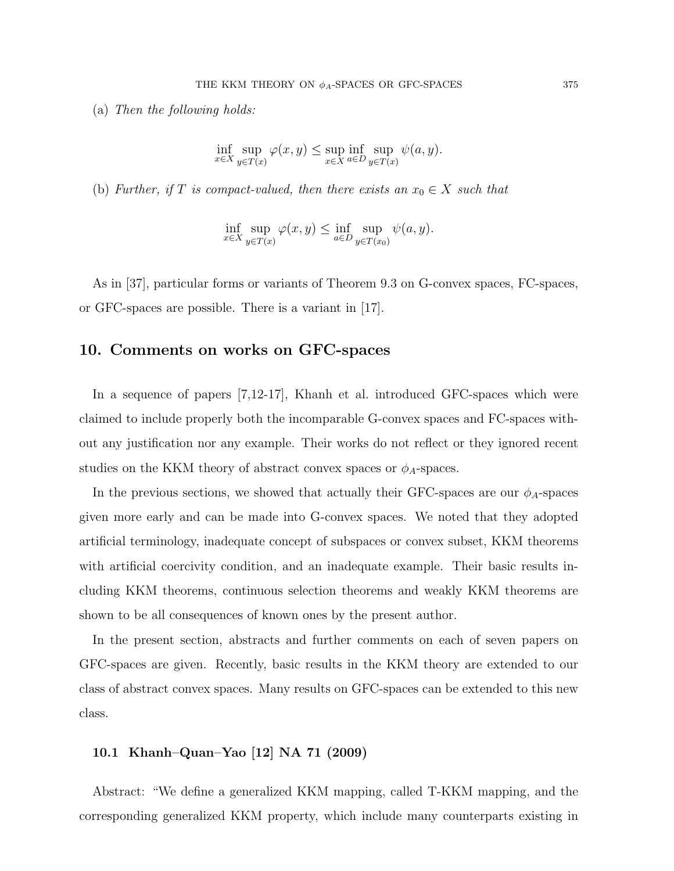(a) Then the following holds:

$$
\inf_{x \in X} \sup_{y \in T(x)} \varphi(x, y) \le \sup_{x \in X} \inf_{a \in D} \sup_{y \in T(x)} \psi(a, y).
$$

(b) Further, if T is compact-valued, then there exists an  $x_0 \in X$  such that

$$
\inf_{x \in X} \sup_{y \in T(x)} \varphi(x, y) \le \inf_{a \in D} \sup_{y \in T(x_0)} \psi(a, y).
$$

As in [37], particular forms or variants of Theorem 9.3 on G-convex spaces, FC-spaces, or GFC-spaces are possible. There is a variant in [17].

### 10. Comments on works on GFC-spaces

In a sequence of papers [7,12-17], Khanh et al. introduced GFC-spaces which were claimed to include properly both the incomparable G-convex spaces and FC-spaces without any justification nor any example. Their works do not reflect or they ignored recent studies on the KKM theory of abstract convex spaces or  $\phi_A$ -spaces.

In the previous sections, we showed that actually their GFC-spaces are our  $\phi_A$ -spaces given more early and can be made into G-convex spaces. We noted that they adopted artificial terminology, inadequate concept of subspaces or convex subset, KKM theorems with artificial coercivity condition, and an inadequate example. Their basic results including KKM theorems, continuous selection theorems and weakly KKM theorems are shown to be all consequences of known ones by the present author.

In the present section, abstracts and further comments on each of seven papers on GFC-spaces are given. Recently, basic results in the KKM theory are extended to our class of abstract convex spaces. Many results on GFC-spaces can be extended to this new class.

### 10.1 Khanh–Quan–Yao [12] NA 71 (2009)

Abstract: "We define a generalized KKM mapping, called T-KKM mapping, and the corresponding generalized KKM property, which include many counterparts existing in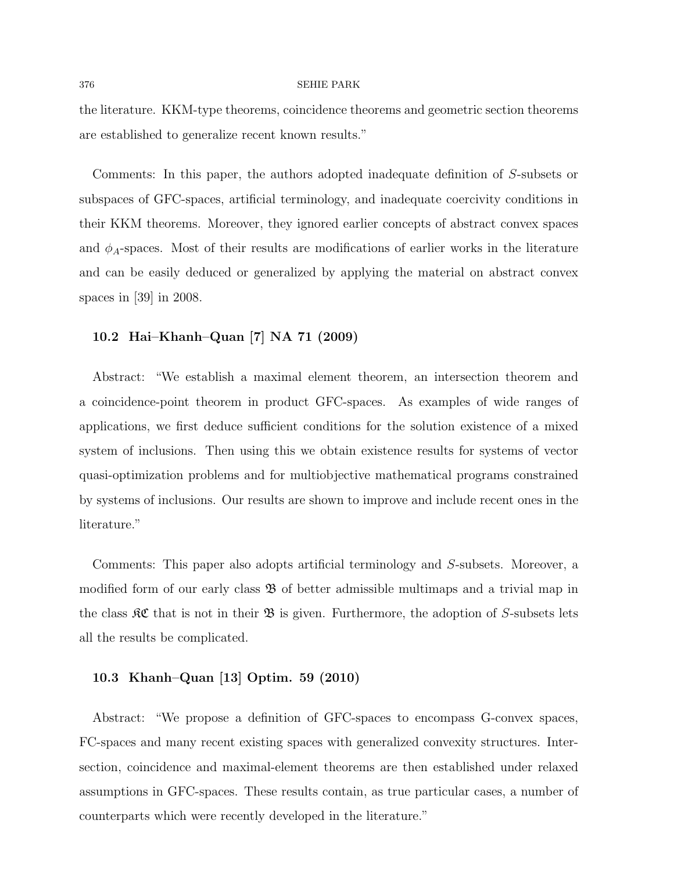the literature. KKM-type theorems, coincidence theorems and geometric section theorems are established to generalize recent known results."

Comments: In this paper, the authors adopted inadequate definition of S-subsets or subspaces of GFC-spaces, artificial terminology, and inadequate coercivity conditions in their KKM theorems. Moreover, they ignored earlier concepts of abstract convex spaces and  $\phi_A$ -spaces. Most of their results are modifications of earlier works in the literature and can be easily deduced or generalized by applying the material on abstract convex spaces in [39] in 2008.

### 10.2 Hai–Khanh–Quan [7] NA 71 (2009)

Abstract: "We establish a maximal element theorem, an intersection theorem and a coincidence-point theorem in product GFC-spaces. As examples of wide ranges of applications, we first deduce sufficient conditions for the solution existence of a mixed system of inclusions. Then using this we obtain existence results for systems of vector quasi-optimization problems and for multiobjective mathematical programs constrained by systems of inclusions. Our results are shown to improve and include recent ones in the literature."

Comments: This paper also adopts artificial terminology and S-subsets. Moreover, a modified form of our early class  $\mathfrak{B}$  of better admissible multimaps and a trivial map in the class  $\mathcal{RC}$  that is not in their  $\mathcal{B}$  is given. Furthermore, the adoption of S-subsets lets all the results be complicated.

### 10.3 Khanh–Quan [13] Optim. 59 (2010)

Abstract: "We propose a definition of GFC-spaces to encompass G-convex spaces, FC-spaces and many recent existing spaces with generalized convexity structures. Intersection, coincidence and maximal-element theorems are then established under relaxed assumptions in GFC-spaces. These results contain, as true particular cases, a number of counterparts which were recently developed in the literature."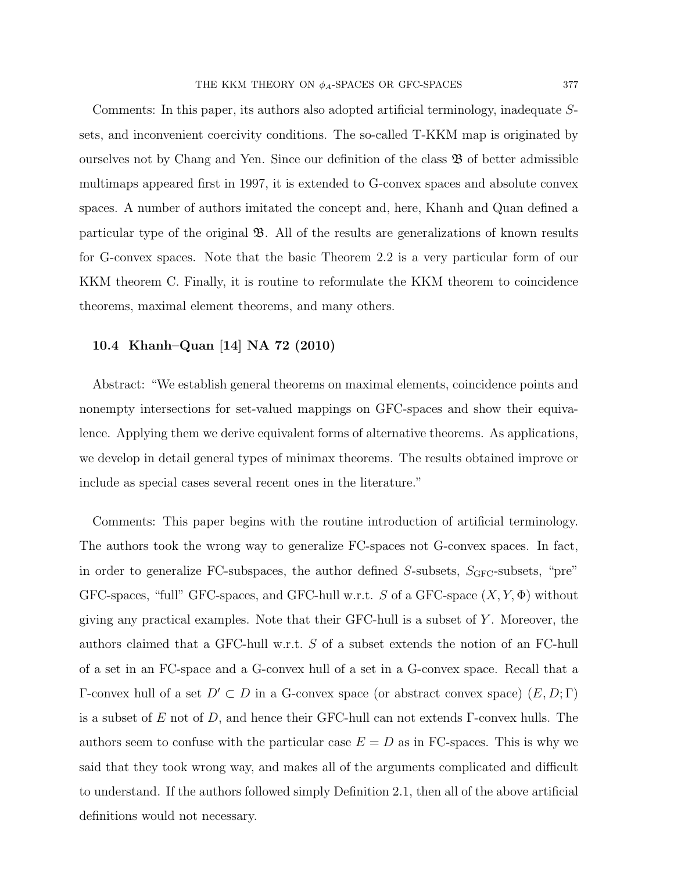Comments: In this paper, its authors also adopted artificial terminology, inadequate Ssets, and inconvenient coercivity conditions. The so-called T-KKM map is originated by ourselves not by Chang and Yen. Since our definition of the class  $\mathfrak{B}$  of better admissible multimaps appeared first in 1997, it is extended to G-convex spaces and absolute convex spaces. A number of authors imitated the concept and, here, Khanh and Quan defined a particular type of the original  $\mathfrak{B}$ . All of the results are generalizations of known results for G-convex spaces. Note that the basic Theorem 2.2 is a very particular form of our KKM theorem C. Finally, it is routine to reformulate the KKM theorem to coincidence theorems, maximal element theorems, and many others.

### 10.4 Khanh–Quan [14] NA 72 (2010)

Abstract: "We establish general theorems on maximal elements, coincidence points and nonempty intersections for set-valued mappings on GFC-spaces and show their equivalence. Applying them we derive equivalent forms of alternative theorems. As applications, we develop in detail general types of minimax theorems. The results obtained improve or include as special cases several recent ones in the literature."

Comments: This paper begins with the routine introduction of artificial terminology. The authors took the wrong way to generalize FC-spaces not G-convex spaces. In fact, in order to generalize FC-subspaces, the author defined  $S$ -subsets,  $S_{GFC}$ -subsets, "pre" GFC-spaces, "full" GFC-spaces, and GFC-hull w.r.t. S of a GFC-space  $(X, Y, \Phi)$  without giving any practical examples. Note that their GFC-hull is a subset of  $Y$ . Moreover, the authors claimed that a GFC-hull w.r.t. S of a subset extends the notion of an FC-hull of a set in an FC-space and a G-convex hull of a set in a G-convex space. Recall that a Γ-convex hull of a set  $D' ⊂ D$  in a G-convex space (or abstract convex space)  $(E, D; Γ)$ is a subset of E not of D, and hence their GFC-hull can not extends  $\Gamma$ -convex hulls. The authors seem to confuse with the particular case  $E = D$  as in FC-spaces. This is why we said that they took wrong way, and makes all of the arguments complicated and difficult to understand. If the authors followed simply Definition 2.1, then all of the above artificial definitions would not necessary.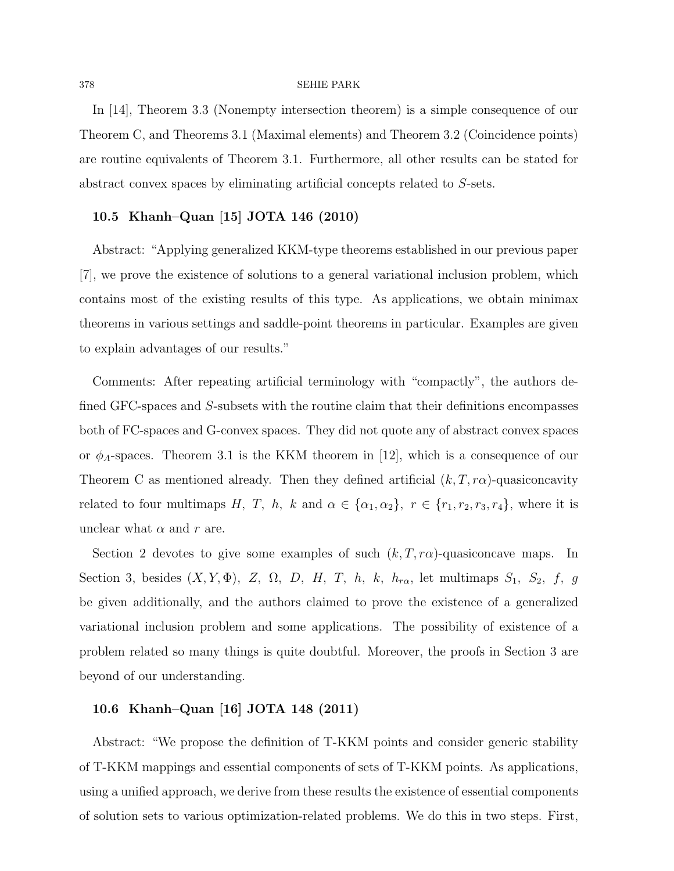In [14], Theorem 3.3 (Nonempty intersection theorem) is a simple consequence of our Theorem C, and Theorems 3.1 (Maximal elements) and Theorem 3.2 (Coincidence points) are routine equivalents of Theorem 3.1. Furthermore, all other results can be stated for abstract convex spaces by eliminating artificial concepts related to S-sets.

### 10.5 Khanh–Quan [15] JOTA 146 (2010)

Abstract: "Applying generalized KKM-type theorems established in our previous paper [7], we prove the existence of solutions to a general variational inclusion problem, which contains most of the existing results of this type. As applications, we obtain minimax theorems in various settings and saddle-point theorems in particular. Examples are given to explain advantages of our results."

Comments: After repeating artificial terminology with "compactly", the authors defined GFC-spaces and S-subsets with the routine claim that their definitions encompasses both of FC-spaces and G-convex spaces. They did not quote any of abstract convex spaces or  $\phi_A$ -spaces. Theorem 3.1 is the KKM theorem in [12], which is a consequence of our Theorem C as mentioned already. Then they defined artificial  $(k, T, r\alpha)$ -quasiconcavity related to four multimaps H, T, h, k and  $\alpha \in {\alpha_1, \alpha_2}$ ,  $r \in \{r_1, r_2, r_3, r_4\}$ , where it is unclear what  $\alpha$  and  $r$  are.

Section 2 devotes to give some examples of such  $(k, T, r\alpha)$ -quasiconcave maps. In Section 3, besides  $(X, Y, \Phi)$ , Z,  $\Omega$ , D, H, T, h, k,  $h_{r\alpha}$ , let multimaps  $S_1$ ,  $S_2$ , f, g be given additionally, and the authors claimed to prove the existence of a generalized variational inclusion problem and some applications. The possibility of existence of a problem related so many things is quite doubtful. Moreover, the proofs in Section 3 are beyond of our understanding.

### 10.6 Khanh–Quan [16] JOTA 148 (2011)

Abstract: "We propose the definition of T-KKM points and consider generic stability of T-KKM mappings and essential components of sets of T-KKM points. As applications, using a unified approach, we derive from these results the existence of essential components of solution sets to various optimization-related problems. We do this in two steps. First,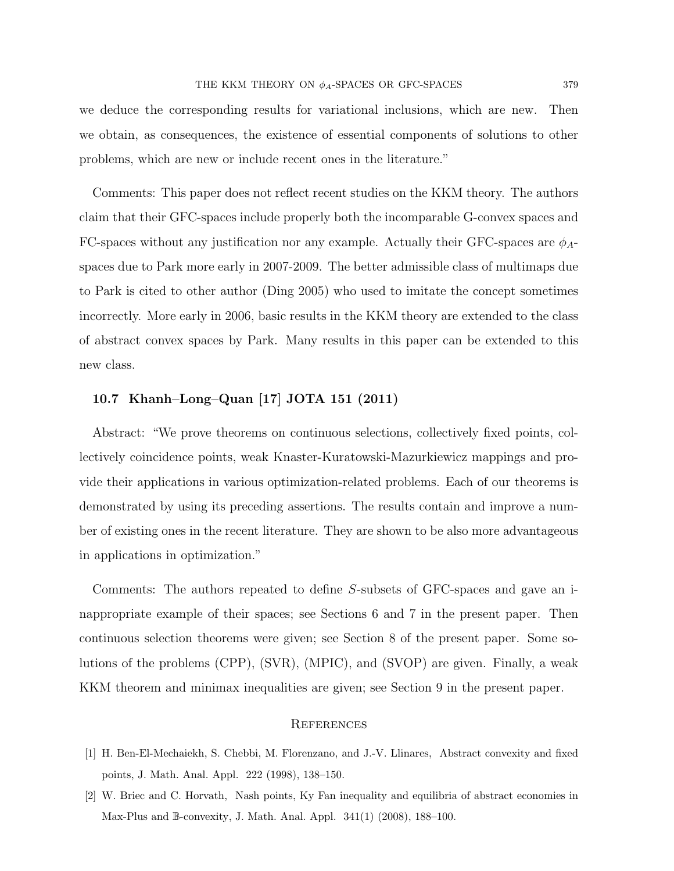we deduce the corresponding results for variational inclusions, which are new. Then we obtain, as consequences, the existence of essential components of solutions to other problems, which are new or include recent ones in the literature."

Comments: This paper does not reflect recent studies on the KKM theory. The authors claim that their GFC-spaces include properly both the incomparable G-convex spaces and FC-spaces without any justification nor any example. Actually their GFC-spaces are  $\phi_{A}$ spaces due to Park more early in 2007-2009. The better admissible class of multimaps due to Park is cited to other author (Ding 2005) who used to imitate the concept sometimes incorrectly. More early in 2006, basic results in the KKM theory are extended to the class of abstract convex spaces by Park. Many results in this paper can be extended to this new class.

### 10.7 Khanh–Long–Quan [17] JOTA 151 (2011)

Abstract: "We prove theorems on continuous selections, collectively fixed points, collectively coincidence points, weak Knaster-Kuratowski-Mazurkiewicz mappings and provide their applications in various optimization-related problems. Each of our theorems is demonstrated by using its preceding assertions. The results contain and improve a number of existing ones in the recent literature. They are shown to be also more advantageous in applications in optimization."

Comments: The authors repeated to define S-subsets of GFC-spaces and gave an inappropriate example of their spaces; see Sections 6 and 7 in the present paper. Then continuous selection theorems were given; see Section 8 of the present paper. Some solutions of the problems (CPP), (SVR), (MPIC), and (SVOP) are given. Finally, a weak KKM theorem and minimax inequalities are given; see Section 9 in the present paper.

#### **REFERENCES**

- [1] H. Ben-El-Mechaiekh, S. Chebbi, M. Florenzano, and J.-V. Llinares, Abstract convexity and fixed points, J. Math. Anal. Appl. 222 (1998), 138–150.
- [2] W. Briec and C. Horvath, Nash points, Ky Fan inequality and equilibria of abstract economies in Max-Plus and B-convexity, J. Math. Anal. Appl. 341(1) (2008), 188–100.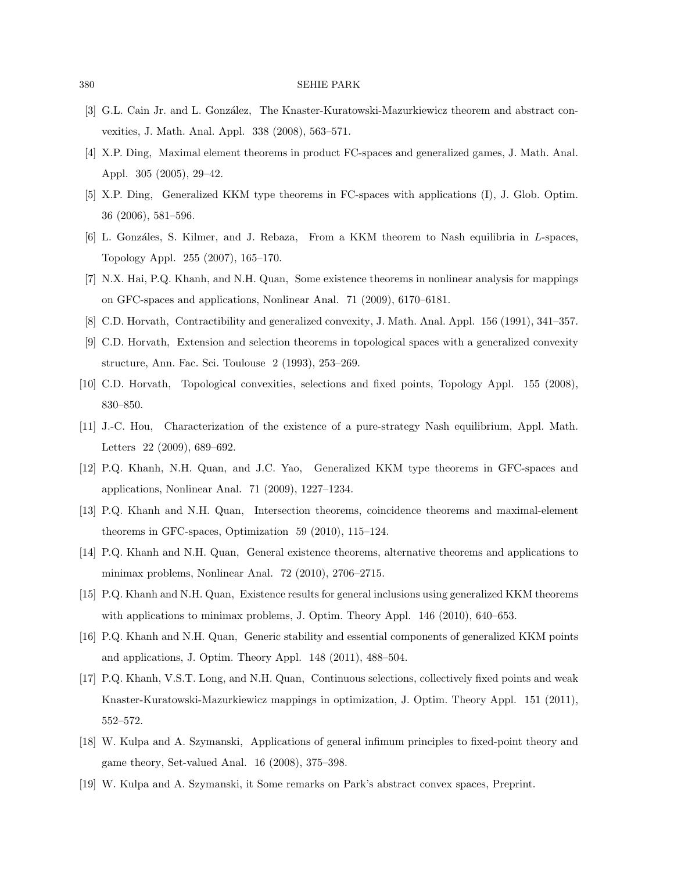- [3] G.L. Cain Jr. and L. González, The Knaster-Kuratowski-Mazurkiewicz theorem and abstract convexities, J. Math. Anal. Appl. 338 (2008), 563–571.
- [4] X.P. Ding, Maximal element theorems in product FC-spaces and generalized games, J. Math. Anal. Appl. 305 (2005), 29–42.
- [5] X.P. Ding, Generalized KKM type theorems in FC-spaces with applications (I), J. Glob. Optim. 36 (2006), 581–596.
- [6] L. Gonzáles, S. Kilmer, and J. Rebaza, From a KKM theorem to Nash equilibria in L-spaces, Topology Appl. 255 (2007), 165–170.
- [7] N.X. Hai, P.Q. Khanh, and N.H. Quan, Some existence theorems in nonlinear analysis for mappings on GFC-spaces and applications, Nonlinear Anal. 71 (2009), 6170–6181.
- [8] C.D. Horvath, Contractibility and generalized convexity, J. Math. Anal. Appl. 156 (1991), 341–357.
- [9] C.D. Horvath, Extension and selection theorems in topological spaces with a generalized convexity structure, Ann. Fac. Sci. Toulouse 2 (1993), 253–269.
- [10] C.D. Horvath, Topological convexities, selections and fixed points, Topology Appl. 155 (2008), 830–850.
- [11] J.-C. Hou, Characterization of the existence of a pure-strategy Nash equilibrium, Appl. Math. Letters 22 (2009), 689–692.
- [12] P.Q. Khanh, N.H. Quan, and J.C. Yao, Generalized KKM type theorems in GFC-spaces and applications, Nonlinear Anal. 71 (2009), 1227–1234.
- [13] P.Q. Khanh and N.H. Quan, Intersection theorems, coincidence theorems and maximal-element theorems in GFC-spaces, Optimization 59 (2010), 115–124.
- [14] P.Q. Khanh and N.H. Quan, General existence theorems, alternative theorems and applications to minimax problems, Nonlinear Anal. 72 (2010), 2706–2715.
- [15] P.Q. Khanh and N.H. Quan, Existence results for general inclusions using generalized KKM theorems with applications to minimax problems, J. Optim. Theory Appl. 146 (2010), 640–653.
- [16] P.Q. Khanh and N.H. Quan, Generic stability and essential components of generalized KKM points and applications, J. Optim. Theory Appl. 148 (2011), 488–504.
- [17] P.Q. Khanh, V.S.T. Long, and N.H. Quan, Continuous selections, collectively fixed points and weak Knaster-Kuratowski-Mazurkiewicz mappings in optimization, J. Optim. Theory Appl. 151 (2011), 552–572.
- [18] W. Kulpa and A. Szymanski, Applications of general infimum principles to fixed-point theory and game theory, Set-valued Anal. 16 (2008), 375–398.
- [19] W. Kulpa and A. Szymanski, it Some remarks on Park's abstract convex spaces, Preprint.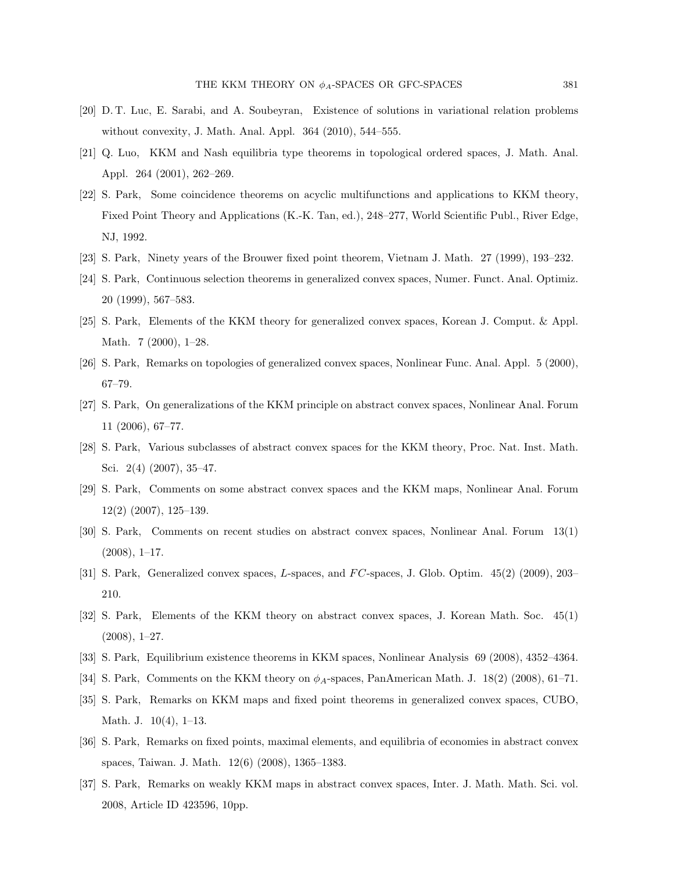- [20] D. T. Luc, E. Sarabi, and A. Soubeyran, Existence of solutions in variational relation problems without convexity, J. Math. Anal. Appl. 364 (2010), 544–555.
- [21] Q. Luo, KKM and Nash equilibria type theorems in topological ordered spaces, J. Math. Anal. Appl. 264 (2001), 262–269.
- [22] S. Park, Some coincidence theorems on acyclic multifunctions and applications to KKM theory, Fixed Point Theory and Applications (K.-K. Tan, ed.), 248–277, World Scientific Publ., River Edge, NJ, 1992.
- [23] S. Park, Ninety years of the Brouwer fixed point theorem, Vietnam J. Math. 27 (1999), 193–232.
- [24] S. Park, Continuous selection theorems in generalized convex spaces, Numer. Funct. Anal. Optimiz. 20 (1999), 567–583.
- [25] S. Park, Elements of the KKM theory for generalized convex spaces, Korean J. Comput. & Appl. Math. 7 (2000), 1–28.
- [26] S. Park, Remarks on topologies of generalized convex spaces, Nonlinear Func. Anal. Appl. 5 (2000), 67–79.
- [27] S. Park, On generalizations of the KKM principle on abstract convex spaces, Nonlinear Anal. Forum 11 (2006), 67–77.
- [28] S. Park, Various subclasses of abstract convex spaces for the KKM theory, Proc. Nat. Inst. Math. Sci. 2(4) (2007), 35–47.
- [29] S. Park, Comments on some abstract convex spaces and the KKM maps, Nonlinear Anal. Forum 12(2) (2007), 125–139.
- [30] S. Park, Comments on recent studies on abstract convex spaces, Nonlinear Anal. Forum 13(1)  $(2008), 1-17.$
- [31] S. Park, Generalized convex spaces, L-spaces, and  $FC$ -spaces, J. Glob. Optim.  $45(2)$  (2009), 203– 210.
- [32] S. Park, Elements of the KKM theory on abstract convex spaces, J. Korean Math. Soc. 45(1) (2008), 1–27.
- [33] S. Park, Equilibrium existence theorems in KKM spaces, Nonlinear Analysis 69 (2008), 4352–4364.
- [34] S. Park, Comments on the KKM theory on  $\phi_A$ -spaces, PanAmerican Math. J. 18(2) (2008), 61–71.
- [35] S. Park, Remarks on KKM maps and fixed point theorems in generalized convex spaces, CUBO, Math. J. 10(4), 1–13.
- [36] S. Park, Remarks on fixed points, maximal elements, and equilibria of economies in abstract convex spaces, Taiwan. J. Math. 12(6) (2008), 1365–1383.
- [37] S. Park, Remarks on weakly KKM maps in abstract convex spaces, Inter. J. Math. Math. Sci. vol. 2008, Article ID 423596, 10pp.